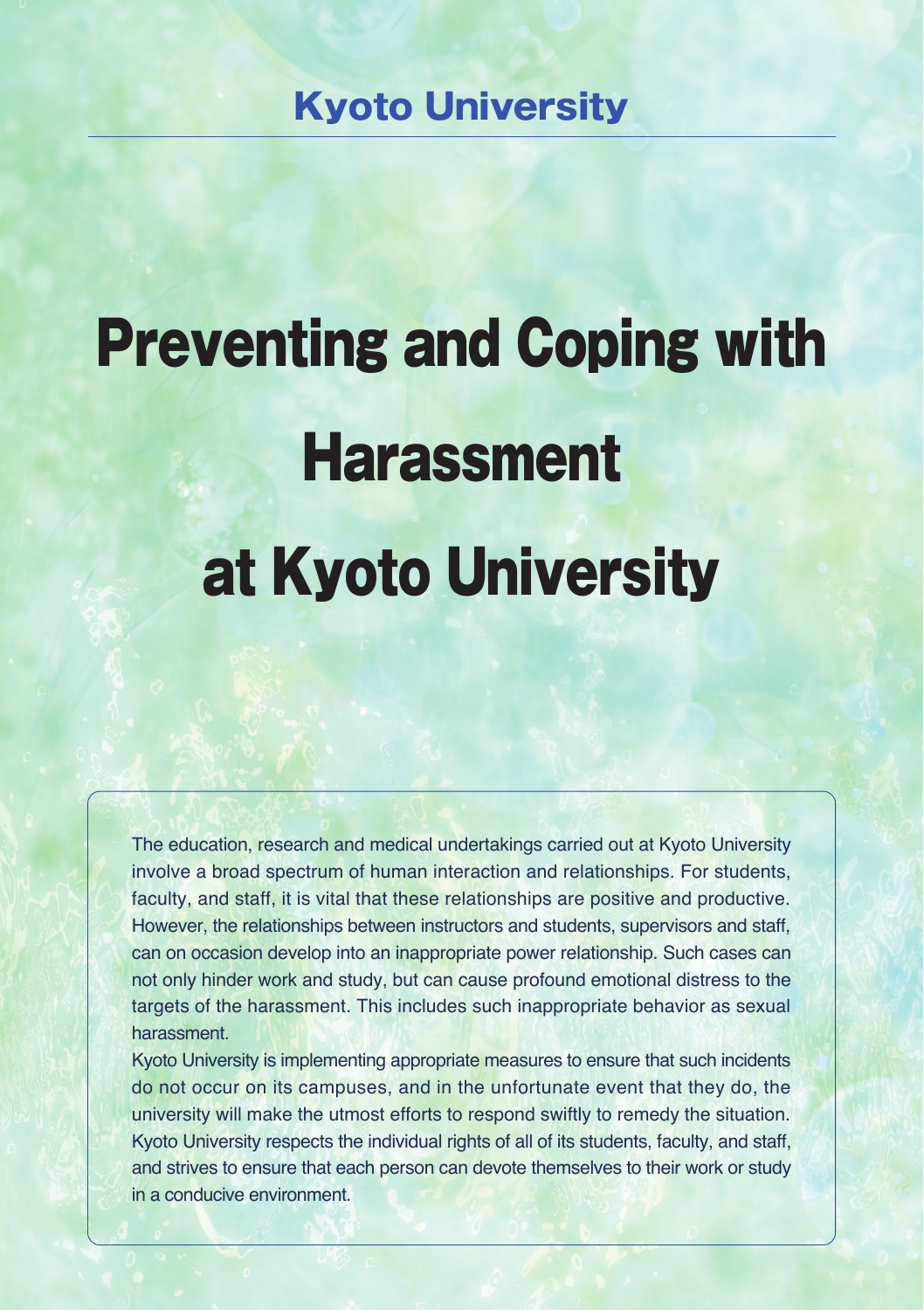# Kyoto University

# Preventing and Coping with **Harassment** at Kyoto University

The education, research and medical undertakings carried out at Kyoto University involve a broad spectrum of human interaction and relationships. For students, faculty, and staff, it is vital that these relationships are positive and productive. However, the relationships between instructors and students, supervisors and staff, can on occasion develop into an inappropriate power relationship. Such cases can not only hinder work and study, but can cause profound emotional distress to the targets of the harassment. This includes such inappropriate behavior as sexual harassment.

Kyoto University is implementing appropriate measures to ensure that such incidents do not occur on its campuses, and in the unfortunate event that they do, the university will make the utmost efforts to respond swiftly to remedy the situation. Kyoto University respects the individual rights of all of its students, faculty, and staff, and strives to ensure that each person can devote themselves to their work or study in a conducive environment.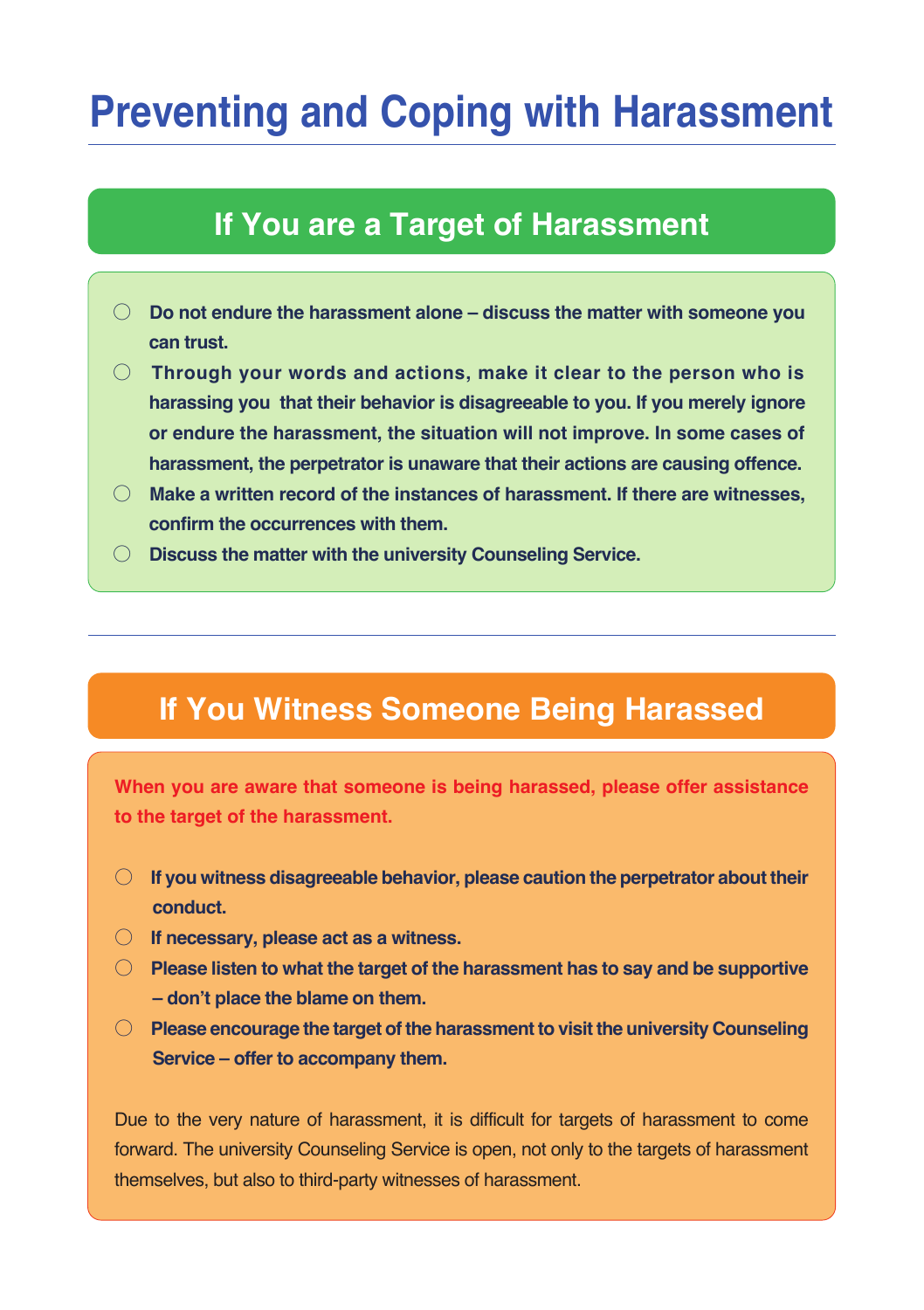# **Preventing and Coping with Harassment**

# **If You are a Target of Harassment**

- **Do not endure the harassment alone discuss the matter with someone you can trust.**
- **Through your words and actions, make it clear to the person who is harassing you that their behavior is disagreeable to you. If you merely ignore or endure the harassment, the situation will not improve. In some cases of harassment, the perpetrator is unaware that their actions are causing offence.**
- **Make a written record of the instances of harassment. If there are witnesses, confirm the occurrences with them.**
- **Discuss the matter with the university Counseling Service.**

# **If You Witness Someone Being Harassed**

**When you are aware that someone is being harassed, please offer assistance to the target of the harassment.**

- **If you witness disagreeable behavior, please caution the perpetrator about their conduct.**
- **If necessary, please act as a witness.**
- **Please listen to what the target of the harassment has to say and be supportive**  - don't place the blame on them.
- **Please encourage the target of the harassment to visit the university Counseling Service – offer to accompany them.**

Due to the very nature of harassment, it is difficult for targets of harassment to come forward. The university Counseling Service is open, not only to the targets of harassment themselves, but also to third-party witnesses of harassment.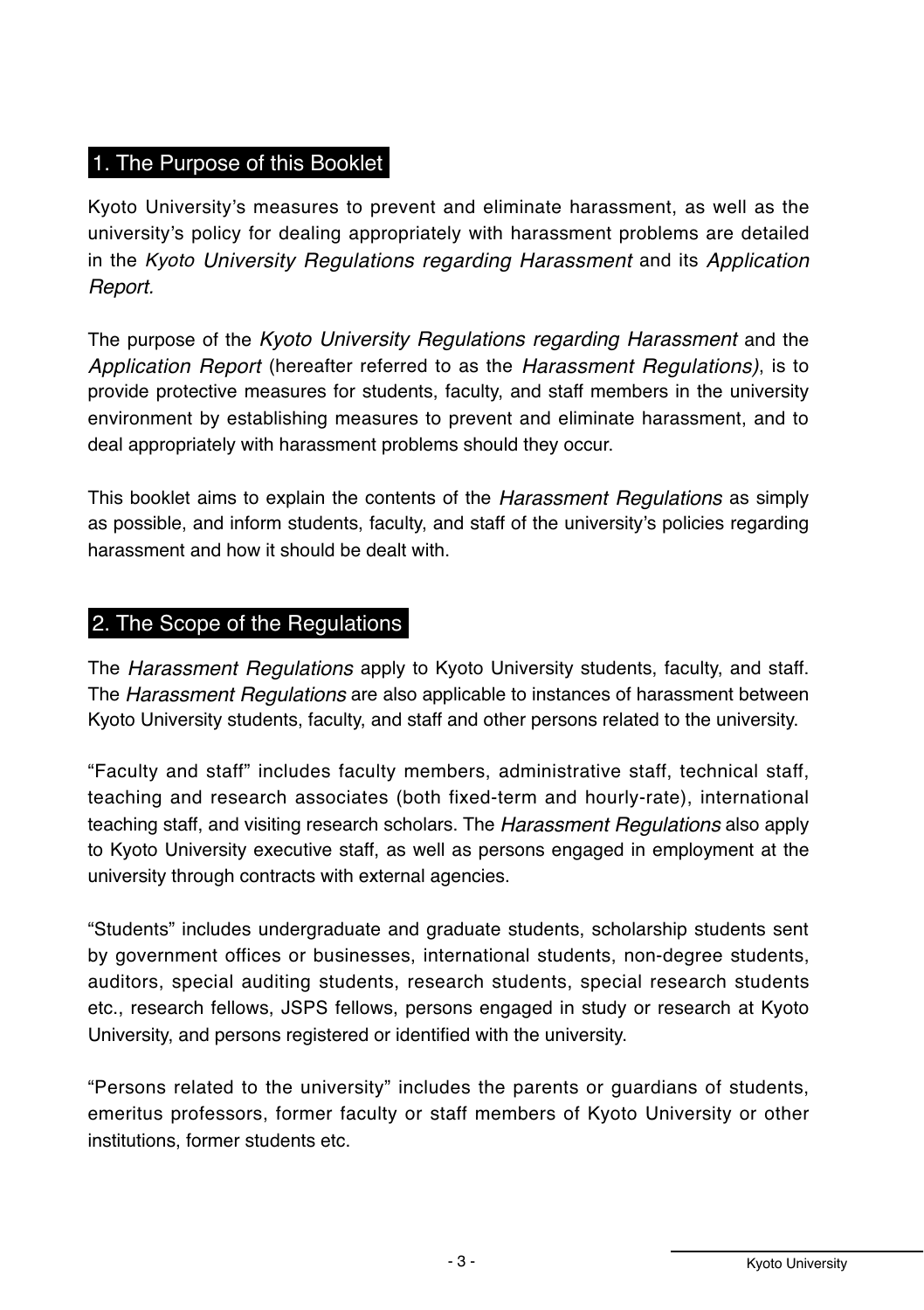# 1. The Purpose of this Booklet

Kyoto University's measures to prevent and eliminate harassment, as well as the university's policy for dealing appropriately with harassment problems are detailed in the *Kyoto University Regulations regarding Harassment* and its *Application Report.* 

The purpose of the *Kyoto University Regulations regarding Harassment* and the *Application Report* (hereafter referred to as the *Harassment Regulations*), is to provide protective measures for students, faculty, and staff members in the university environment by establishing measures to prevent and eliminate harassment, and to deal appropriately with harassment problems should they occur.

This booklet aims to explain the contents of the *Harassment Regulations* as simply as possible, and inform students, faculty, and staff of the university's policies regarding harassment and how it should be dealt with

### 2. The Scope of the Regulations

The *Harassment Regulations* apply to Kyoto University students, faculty, and staff. The *Harassment Regulations* are also applicable to instances of harassment between Kyoto University students, faculty, and staff and other persons related to the university.

"Faculty and staff" includes faculty members, administrative staff, technical staff, teaching and research associates (both fixed-term and hourly-rate), international teaching staff, and visiting research scholars. The *Harassment Regulations* also apply to Kyoto University executive staff, as well as persons engaged in employment at the university through contracts with external agencies.

"Students" includes undergraduate and graduate students, scholarship students sent by government offices or businesses, international students, non-degree students, auditors, special auditing students, research students, special research students etc., research fellows, JSPS fellows, persons engaged in study or research at Kyoto University, and persons registered or identified with the university.

"Persons related to the university" includes the parents or quardians of students, emeritus professors, former faculty or staff members of Kyoto University or other institutions, former students etc.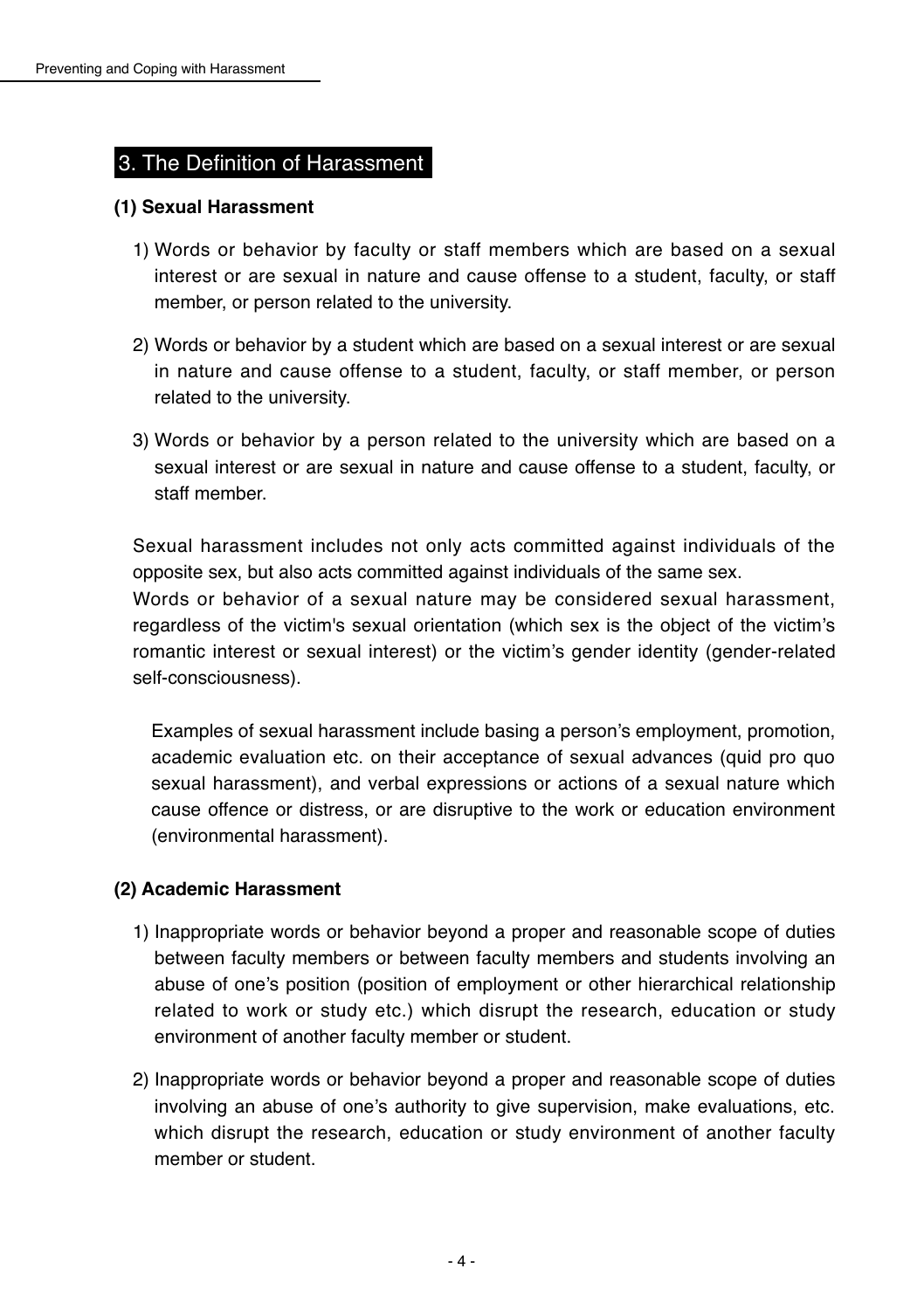#### 3. The Definition of Harassment

#### **(1) Sexual Harassment**

- 1) Words or behavior by faculty or staff members which are based on a sexual interest or are sexual in nature and cause offense to a student, faculty, or staff member, or person related to the university.
- 2) Words or behavior by a student which are based on a sexual interest or are sexual in nature and cause offense to a student, faculty, or staff member, or person related to the university.
- 3) Words or behavior by a person related to the university which are based on a sexual interest or are sexual in nature and cause offense to a student, faculty, or staff member

Sexual harassment includes not only acts committed against individuals of the opposite sex, but also acts committed against individuals of the same sex.

Words or behavior of a sexual nature may be considered sexual harassment, regardless of the victim's sexual orientation (which sex is the object of the victim's romantic interest or sexual interest) or the victim's gender identity (gender-related self-consciousness).

Examples of sexual harassment include basing a person's employment, promotion, academic evaluation etc. on their acceptance of sexual advances (quid pro quo sexual harassment), and verbal expressions or actions of a sexual nature which cause offence or distress, or are disruptive to the work or education environment (environmental harassment).

#### **(2) Academic Harassment**

- 1) Inappropriate words or behavior beyond a proper and reasonable scope of duties between faculty members or between faculty members and students involving an abuse of one's position (position of employment or other hierarchical relationship related to work or study etc.) which disrupt the research, education or study environment of another faculty member or student.
- 2) Inappropriate words or behavior beyond a proper and reasonable scope of duties involving an abuse of one's authority to give supervision, make evaluations, etc. which disrupt the research, education or study environment of another faculty member or student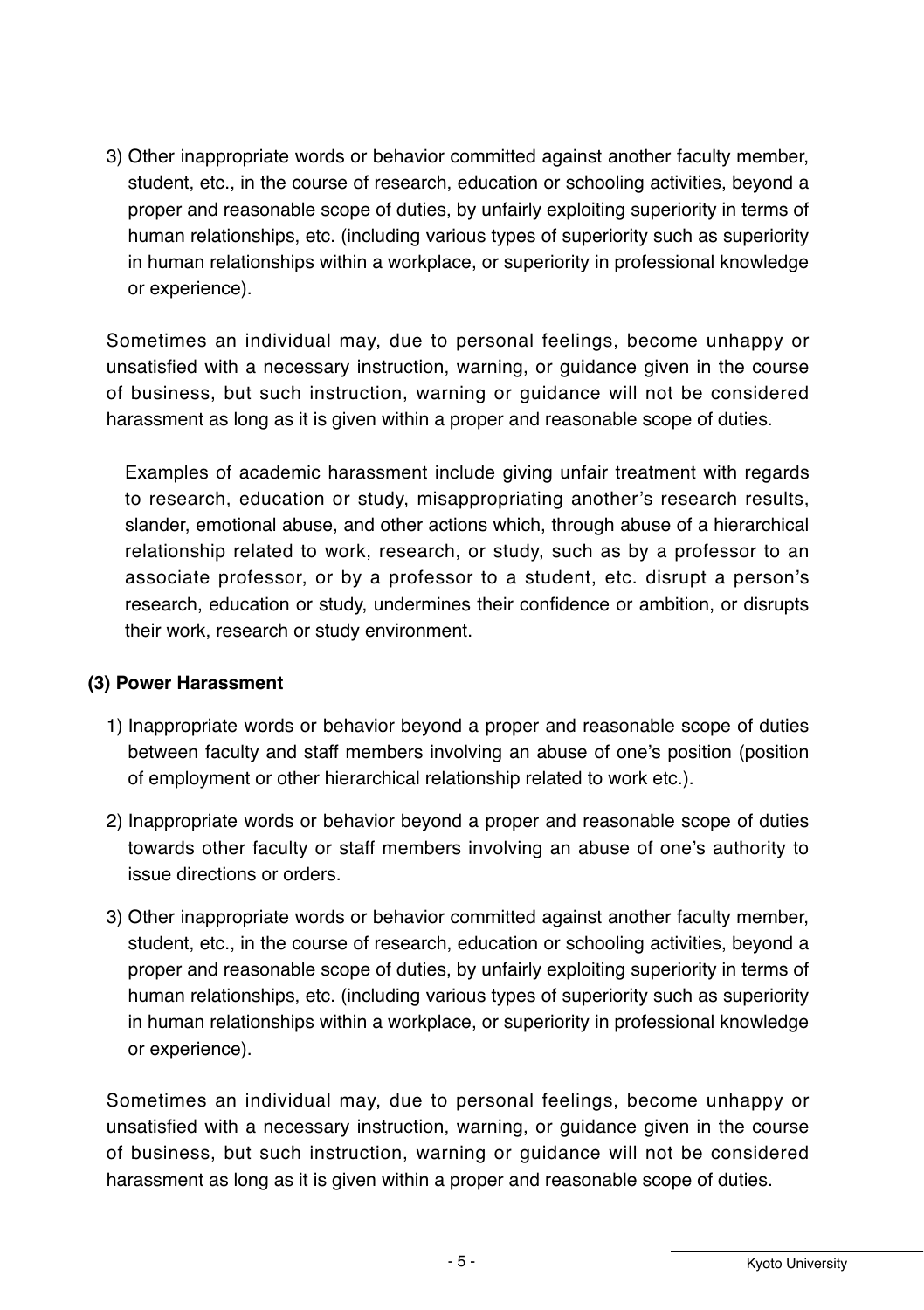3) Other inappropriate words or behavior committed against another faculty member, student, etc., in the course of research, education or schooling activities, beyond a proper and reasonable scope of duties, by unfairly exploiting superiority in terms of human relationships, etc. (including various types of superiority such as superiority in human relationships within a workplace, or superiority in professional knowledge or experience).

Sometimes an individual may, due to personal feelings, become unhappy or unsatisfied with a necessary instruction, warning, or quidance given in the course of business, but such instruction, warning or guidance will not be considered harassment as long as it is given within a proper and reasonable scope of duties.

Examples of academic harassment include giving unfair treatment with regards to research, education or study, misappropriating another's research results, slander, emotional abuse, and other actions which, through abuse of a hierarchical relationship related to work, research, or study, such as by a professor to an associate professor, or by a professor to a student, etc. disrupt a person's research, education or study, undermines their confidence or ambition, or disrupts their work, research or study environment.

#### (3) Power Harassment

- 1) Inappropriate words or behavior beyond a proper and reasonable scope of duties between faculty and staff members involving an abuse of one's position (position of employment or other hierarchical relationship related to work etc.).
- 2) Inappropriate words or behavior beyond a proper and reasonable scope of duties towards other faculty or staff members involving an abuse of one's authority to issue directions or orders.
- 3) Other inappropriate words or behavior committed against another faculty member, student, etc., in the course of research, education or schooling activities, beyond a proper and reasonable scope of duties, by unfairly exploiting superiority in terms of human relationships, etc. (including various types of superiority such as superiority in human relationships within a workplace, or superiority in professional knowledge or experience).

Sometimes an individual may, due to personal feelings, become unhappy or unsatisfied with a necessary instruction, warning, or quidance given in the course of business, but such instruction, warning or guidance will not be considered harassment as long as it is given within a proper and reasonable scope of duties.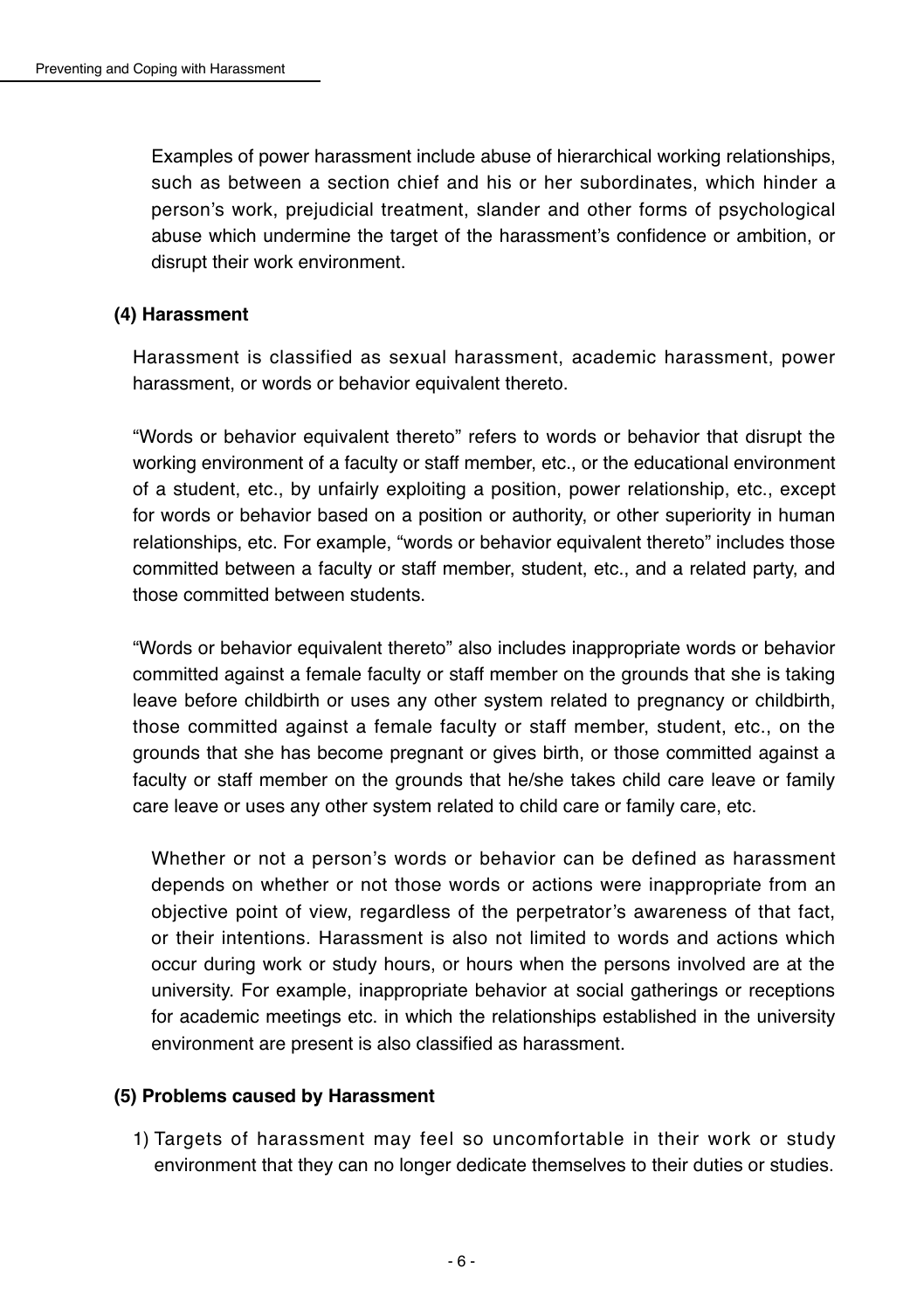Examples of power harassment include abuse of hierarchical working relationships, such as between a section chief and his or her subordinates, which hinder a person's work, prejudicial treatment, slander and other forms of psychological abuse which undermine the target of the harassment's confidence or ambition, or disrupt their work environment.

#### (4) Harassment

Harassment is classified as sexual harassment, academic harassment, power harassment, or words or behavior equivalent thereto.

"Words or behavior equivalent thereto" refers to words or behavior that disrupt the working environment of a faculty or staff member, etc., or the educational environment of a student, etc., by unfairly exploiting a position, power relationship, etc., except for words or behavior based on a position or authority, or other superiority in human relationships, etc. For example, "words or behavior equivalent thereto" includes those committed between a faculty or staff member, student, etc., and a related party, and those committed between students.

"Words or behavior equivalent thereto" also includes inappropriate words or behavior committed against a female faculty or staff member on the grounds that she is taking leave before childbirth or uses any other system related to pregnancy or childbirth. those committed against a female faculty or staff member, student, etc., on the grounds that she has become pregnant or gives birth, or those committed against a faculty or staff member on the grounds that he/she takes child care leave or family care leave or uses any other system related to child care or family care, etc.

Whether or not a person's words or behavior can be defined as harassment depends on whether or not those words or actions were inappropriate from an objective point of view, regardless of the perpetrator's awareness of that fact, or their intentions. Harassment is also not limited to words and actions which occur during work or study hours, or hours when the persons involved are at the university. For example, inappropriate behavior at social gatherings or receptions for academic meetings etc. in which the relationships established in the university environment are present is also classified as harassment.

#### (5) Problems caused by Harassment

1) Targets of harassment may feel so uncomfortable in their work or study environment that they can no longer dedicate themselves to their duties or studies.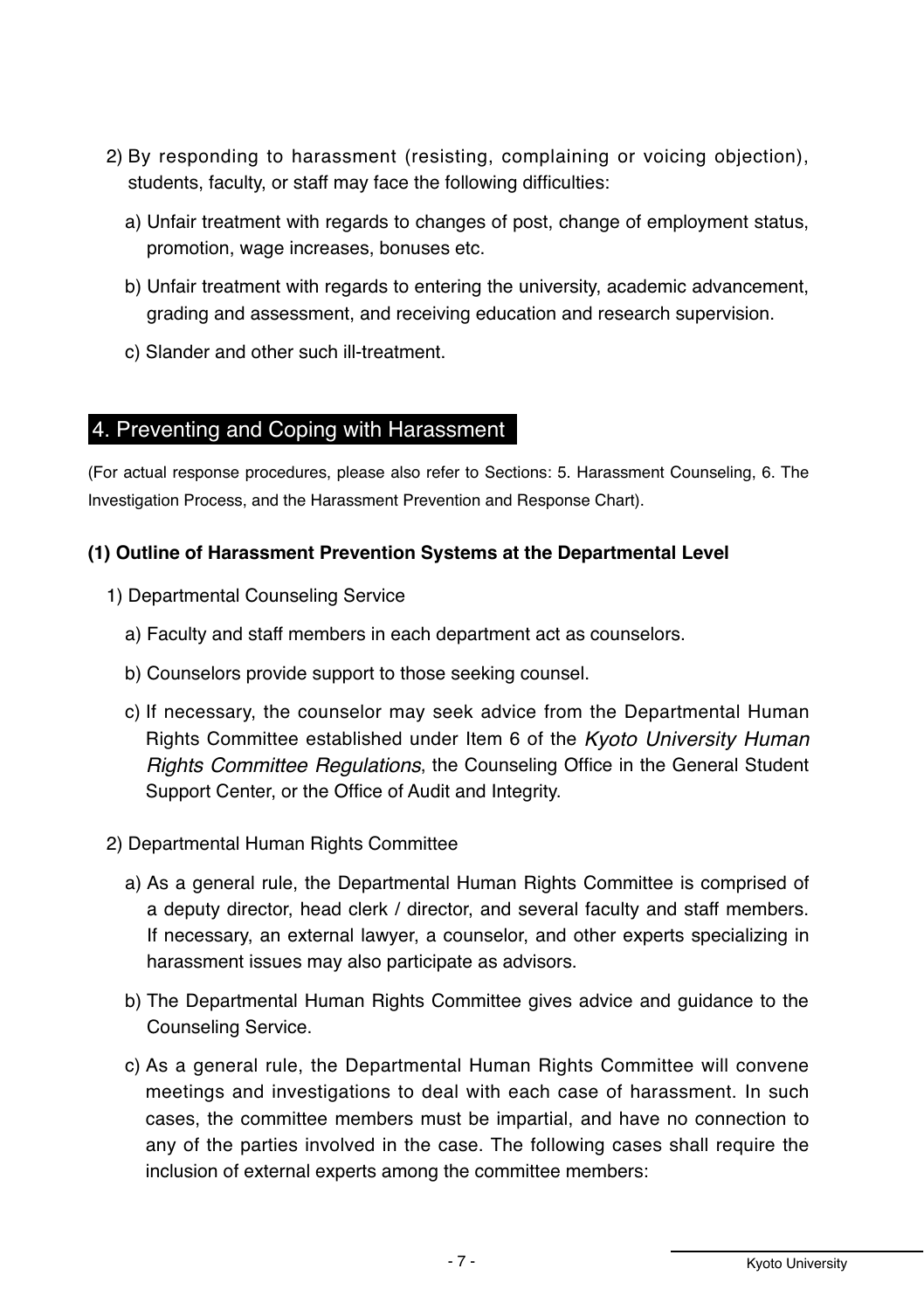- 2) By responding to harassment (resisting, complaining or voicing objection), students, faculty, or staff may face the following difficulties:
	- a) Unfair treatment with regards to changes of post, change of employment status. promotion, wage increases, bonuses etc.
	- b) Unfair treatment with regards to entering the university, academic advancement, grading and assessment, and receiving education and research supervision.
	- c) Slander and other such ill-treatment.

#### 4. Preventing and Coping with Harassment

(For actual response procedures, please also refer to Sections: 5. Harassment Counseling, 6. The Investigation Process, and the Harassment Prevention and Response Chart).

#### **(1) Outline of Harassment Prevention Systems at the Departmental Level**

- 1) Departmental Counseling Service
	- a) Faculty and staff members in each department act as counselors.
	- b) Counselors provide support to those seeking counsel.
	- c) If necessary, the counselor may seek advice from the Departmental Human  $R$  Fights Committee established under Item 6 of the *Kyoto University Human Rights Committee Regulations*, the Counseling Office in the General Student Support Center, or the Office of Audit and Integrity.
- 2) Departmental Human Rights Committee
	- a) As a general rule, the Departmental Human Rights Committee is comprised of a deputy director, head clerk / director, and several faculty and staff members. If necessary, an external lawyer, a counselor, and other experts specializing in harassment issues may also participate as advisors.
	- b) The Departmental Human Rights Committee gives advice and quidance to the Counseling Service.
	- c) As a general rule, the Departmental Human Rights Committee will convene meetings and investigations to deal with each case of harassment. In such cases, the committee members must be impartial, and have no connection to any of the parties involved in the case. The following cases shall require the inclusion of external experts among the committee members: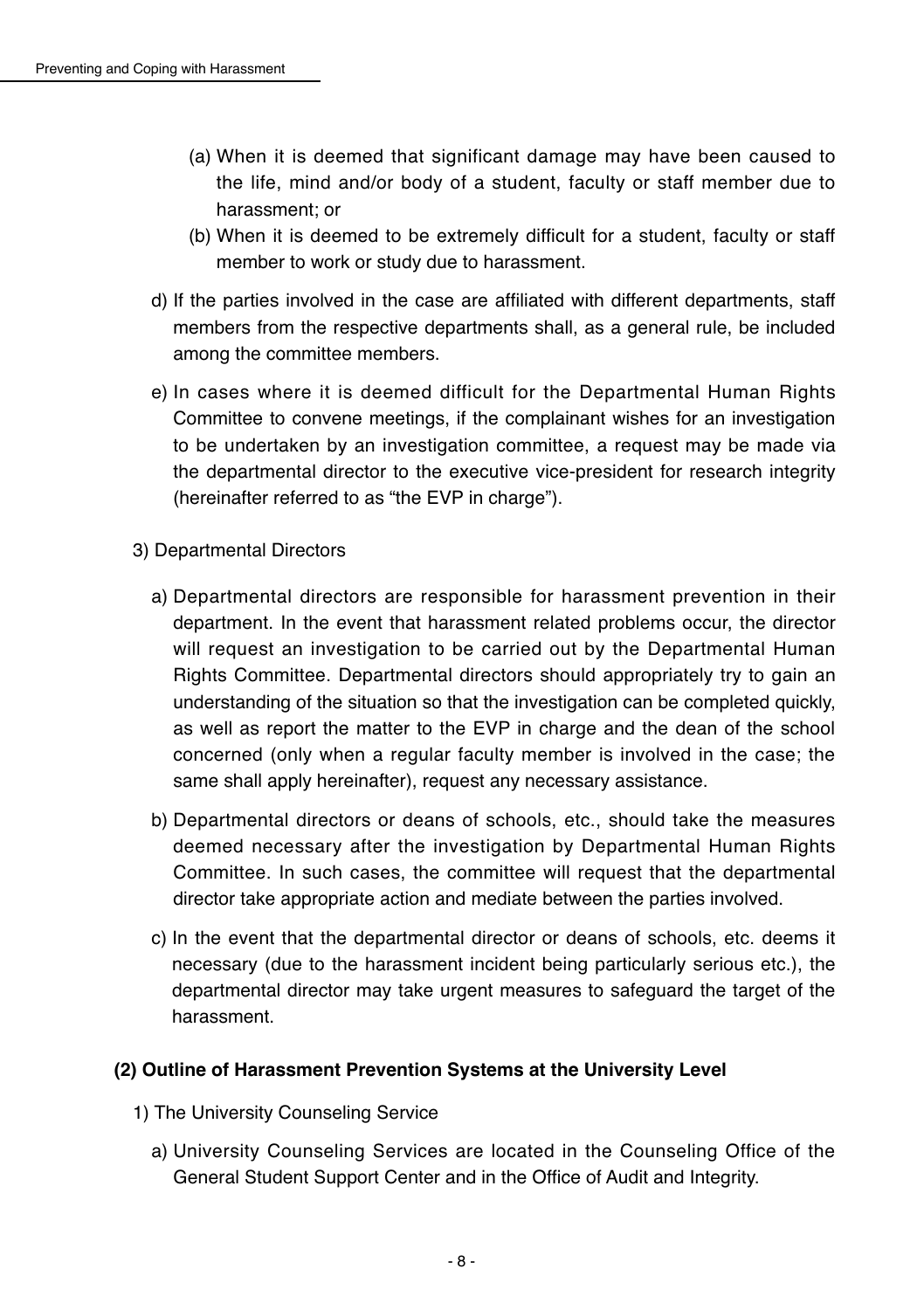- (a) When it is deemed that significant damage may have been caused to the life, mind and/or body of a student, faculty or staff member due to harassment: or
- (b) When it is deemed to be extremely difficult for a student, faculty or staff member to work or study due to harassment.
- d) If the parties involved in the case are affiliated with different departments, staff members from the respective departments shall, as a general rule, be included among the committee members.
- e) In cases where it is deemed difficult for the Departmental Human Rights Committee to convene meetings, if the complainant wishes for an investigation to be undertaken by an investigation committee, a request may be made via the departmental director to the executive vice-president for research integrity (hereinafter referred to as "the EVP in charge").
- 3) Departmental Directors
	- a) Departmental directors are responsible for harassment prevention in their department. In the event that harassment related problems occur, the director will request an investigation to be carried out by the Departmental Human Rights Committee. Departmental directors should appropriately try to gain an understanding of the situation so that the investigation can be completed quickly. as well as report the matter to the EVP in charge and the dean of the school concerned (only when a regular faculty member is involved in the case; the same shall apply hereinafter), request any necessary assistance.
	- b) Departmental directors or deans of schools, etc., should take the measures deemed necessary after the investigation by Departmental Human Rights Committee. In such cases, the committee will request that the departmental director take appropriate action and mediate between the parties involved.
	- c) In the event that the departmental director or deans of schools, etc. deems it necessary (due to the harassment incident being particularly serious etc.), the departmental director may take urgent measures to safequard the target of the harassment

#### **(2) Outline of Harassment Prevention Systems at the University Level**

- 1) The University Counseling Service
	- a) University Counseling Services are located in the Counseling Office of the General Student Support Center and in the Office of Audit and Integrity.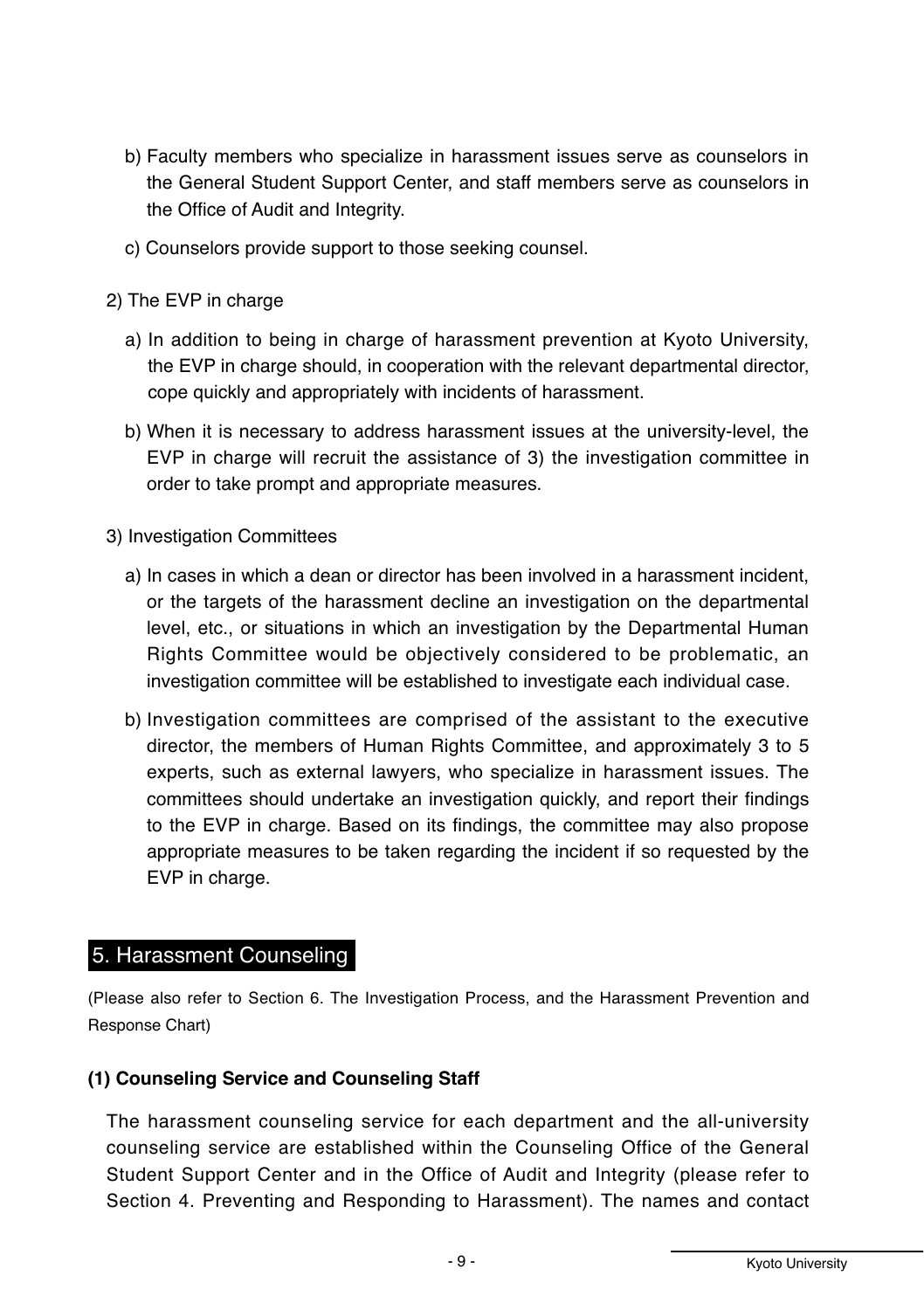- b) Faculty members who specialize in harassment issues serve as counselors in the General Student Support Center, and staff members serve as counselors in the Office of Audit and Integrity.
- c) Counselors provide support to those seeking counsel.
- 2) The EVP in charge
	- a) In addition to being in charge of harassment prevention at Kyoto University. the EVP in charge should, in cooperation with the relevant departmental director, cope quickly and appropriately with incidents of harassment.
	- b) When it is necessary to address harassment issues at the university-level, the EVP in charge will recruit the assistance of 3) the investigation committee in order to take prompt and appropriate measures.
- 3) Investigation Committees
	- a) In cases in which a dean or director has been involved in a harassment incident, or the targets of the harassment decline an investigation on the departmental level, etc., or situations in which an investigation by the Departmental Human Rights Committee would be objectively considered to be problematic, an investigation committee will be established to investigate each individual case.
	- b) Investigation committees are comprised of the assistant to the executive director, the members of Human Rights Committee, and approximately 3 to 5 experts, such as external lawyers, who specialize in harassment issues. The committees should undertake an investigation guickly, and report their findings to the EVP in charge. Based on its findings, the committee may also propose appropriate measures to be taken regarding the incident if so requested by the EVP in charge.

#### 5. Harassment Counseling

(Please also refer to Section 6. The Investigation Process, and the Harassment Prevention and Response Chart)

#### (1) Counseling Service and Counseling Staff

The harassment counseling service for each department and the all-university counseling service are established within the Counseling Office of the General Student Support Center and in the Office of Audit and Integrity (please refer to Section 4. Preventing and Responding to Harassment). The names and contact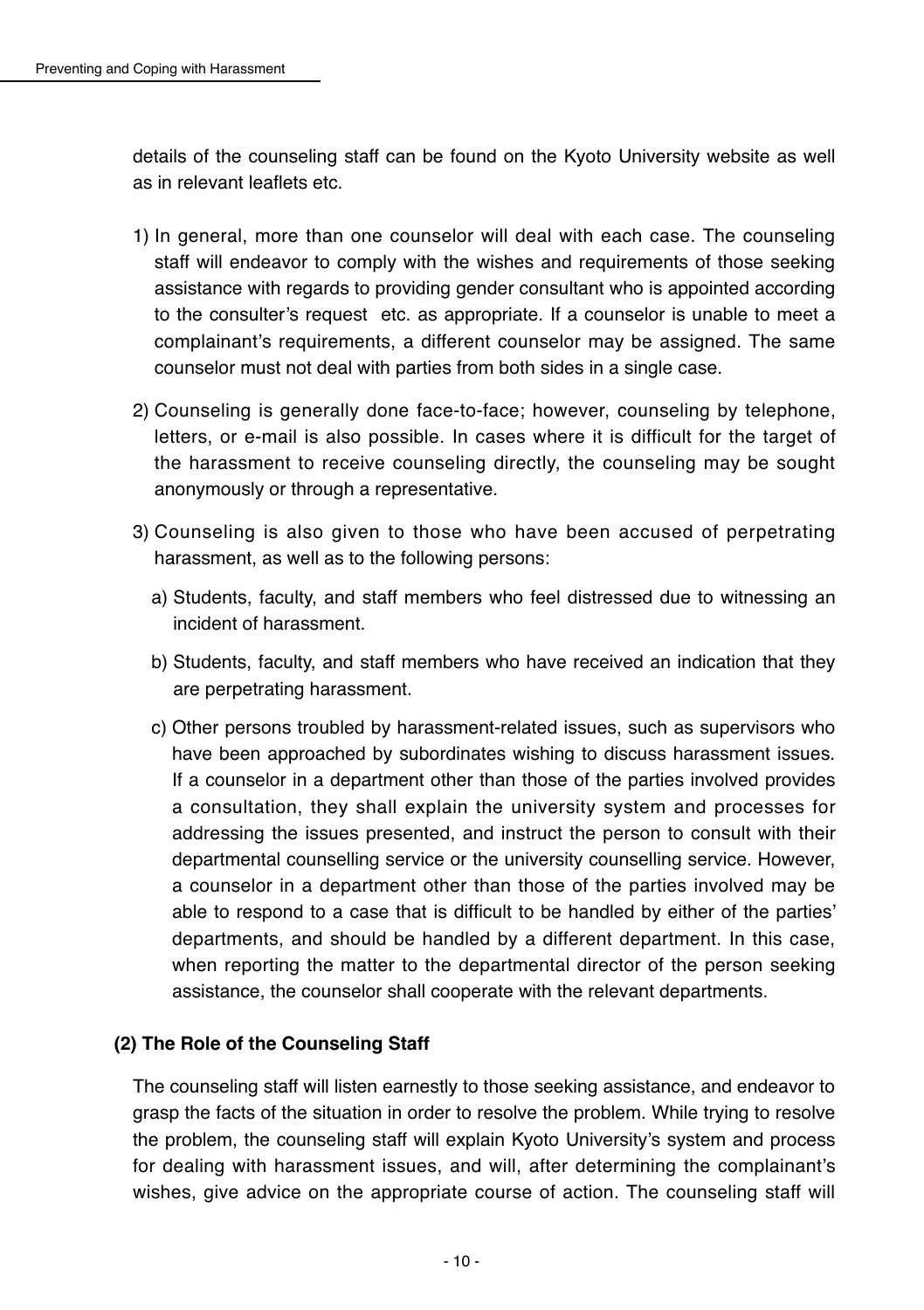details of the counseling staff can be found on the Kyoto University website as well as in relevant leaflets etc.

- 1) In general, more than one counselor will deal with each case. The counseling staff will endeavor to comply with the wishes and requirements of those seeking assistance with regards to providing gender consultant who is appointed according to the consulter's request etc. as appropriate. If a counselor is unable to meet a complainant's requirements, a different counselor may be assigned. The same counselor must not deal with parties from both sides in a single case.
- 2) Counseling is generally done face-to-face; however, counseling by telephone, letters, or e-mail is also possible. In cases where it is difficult for the target of the harassment to receive counseling directly, the counseling may be sought anonymously or through a representative.
- 3) Counseling is also given to those who have been accused of perpetrating harassment, as well as to the following persons:
	- a) Students, faculty, and staff members who feel distressed due to witnessing an incident of harassment.
	- b) Students, faculty, and staff members who have received an indication that they are perpetrating harassment.
	- c) Other persons troubled by harassment-related issues, such as supervisors who have been approached by subordinates wishing to discuss harassment issues. If a counselor in a department other than those of the parties involved provides a consultation, they shall explain the university system and processes for addressing the issues presented, and instruct the person to consult with their departmental counselling service or the university counselling service. However, a counselor in a department other than those of the parties involved may be able to respond to a case that is difficult to be handled by either of the parties' departments, and should be handled by a different department. In this case, when reporting the matter to the departmental director of the person seeking assistance, the counselor shall cooperate with the relevant departments.

#### **(2) The Role of the Counseling Staff**

The counseling staff will listen earnestly to those seeking assistance, and endeavor to grasp the facts of the situation in order to resolve the problem. While trying to resolve the problem, the counseling staff will explain Kyoto University's system and process for dealing with harassment issues, and will, after determining the complainant's wishes, give advice on the appropriate course of action. The counseling staff will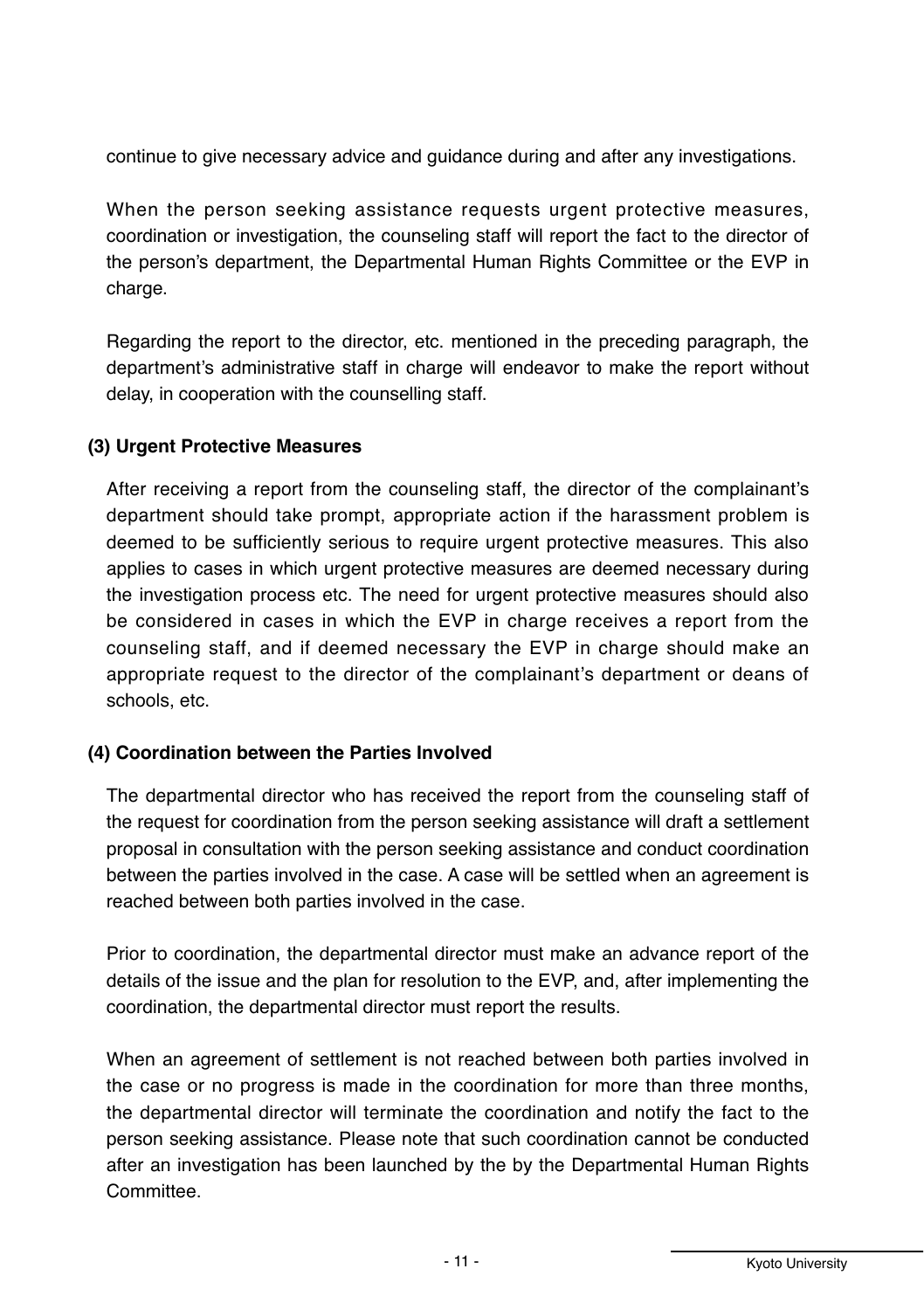continue to give necessary advice and quidance during and after any investigations.

When the person seeking assistance requests urgent protective measures, coordination or investigation, the counseling staff will report the fact to the director of the person's department, the Departmental Human Rights Committee or the EVP in charge.

Regarding the report to the director, etc. mentioned in the preceding paragraph, the department's administrative staff in charge will endeavor to make the report without delay, in cooperation with the counselling staff.

#### (3) Urgent Protective Measures

After receiving a report from the counseling staff, the director of the complainant's department should take prompt, appropriate action if the harassment problem is deemed to be sufficiently serious to require urgent protective measures. This also applies to cases in which urgent protective measures are deemed necessary during the investigation process etc. The need for urgent protective measures should also be considered in cases in which the EVP in charge receives a report from the counseling staff, and if deemed necessary the EVP in charge should make an appropriate request to the director of the complainant's department or deans of schools, etc.

#### (4) Coordination between the Parties Involved

The departmental director who has received the report from the counseling staff of the request for coordination from the person seeking assistance will draft a settlement proposal in consultation with the person seeking assistance and conduct coordination between the parties involved in the case. A case will be settled when an agreement is reached between both parties involved in the case.

Prior to coordination, the departmental director must make an advance report of the details of the issue and the plan for resolution to the EVP, and, after implementing the coordination, the departmental director must report the results.

When an agreement of settlement is not reached between both parties involved in the case or no progress is made in the coordination for more than three months, the departmental director will terminate the coordination and notify the fact to the person seeking assistance. Please note that such coordination cannot be conducted after an investigation has been launched by the by the Departmental Human Rights Committee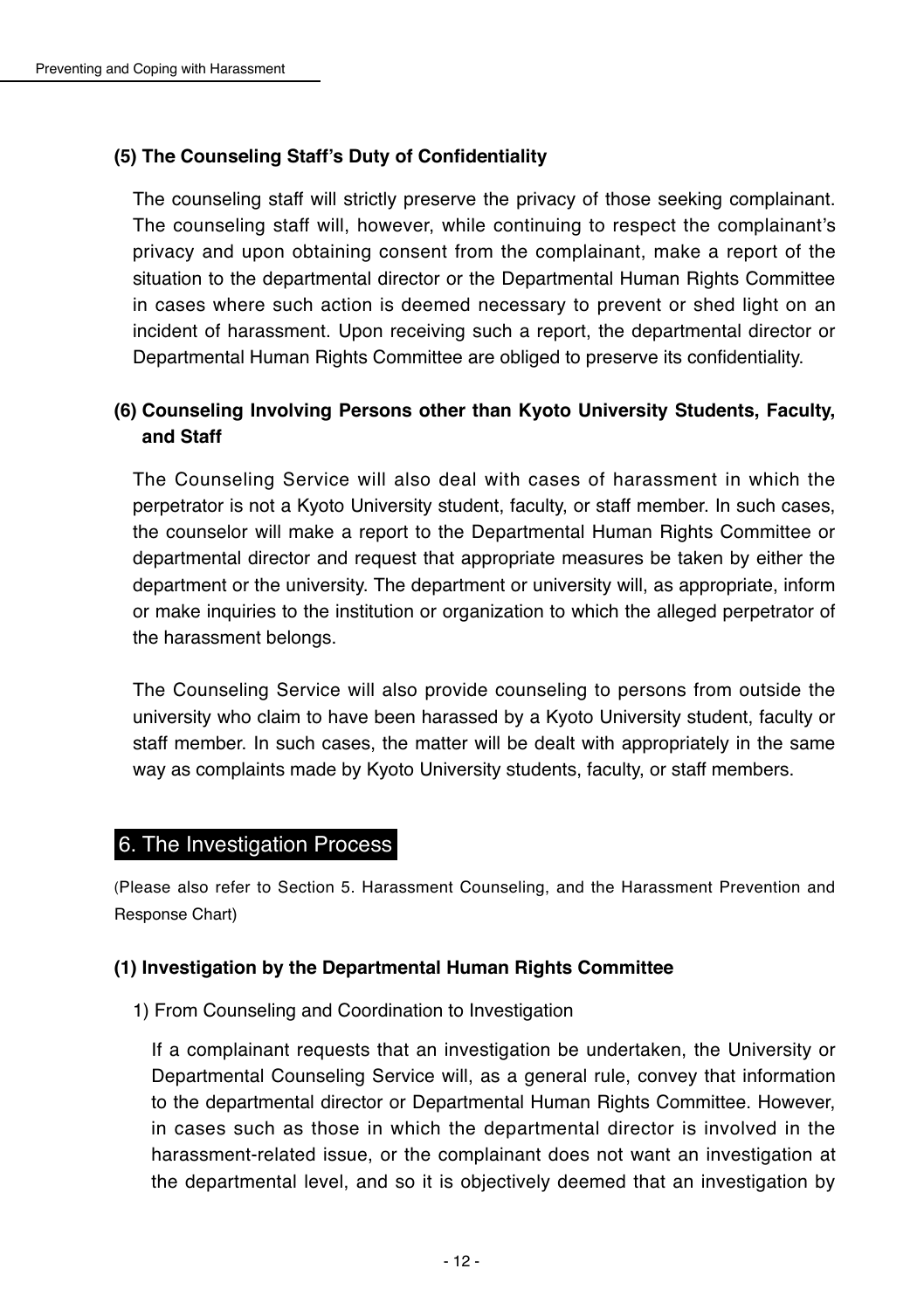#### **(5) The Counseling Staff's Duty of Confidentiality**

The counseling staff will strictly preserve the privacy of those seeking complainant. The counseling staff will, however, while continuing to respect the complainant's privacy and upon obtaining consent from the complainant, make a report of the situation to the departmental director or the Departmental Human Rights Committee in cases where such action is deemed necessary to prevent or shed light on an incident of harassment. Upon receiving such a report, the departmental director or Departmental Human Rights Committee are obliged to preserve its confidentiality.

#### **(6) Counseling Involving Persons other than Kyoto University Students, Faculty, and Staff**

The Counseling Service will also deal with cases of harassment in which the perpetrator is not a Kyoto University student, faculty, or staff member. In such cases, the counselor will make a report to the Departmental Human Rights Committee or departmental director and request that appropriate measures be taken by either the department or the university. The department or university will, as appropriate, inform or make inquiries to the institution or organization to which the alleged perpetrator of the harassment belongs.

The Counseling Service will also provide counseling to persons from outside the university who claim to have been harassed by a Kyoto University student, faculty or staff member. In such cases, the matter will be dealt with appropriately in the same way as complaints made by Kyoto University students, faculty, or staff members.

#### 6. The Investigation Process

(Please also refer to Section 5. Harassment Counseling, and the Harassment Prevention and Response Chart)

#### **(1) Investigation by the Departmental Human Rights Committee**

1) From Counseling and Coordination to Investigation

If a complainant requests that an investigation be undertaken, the University or Departmental Counseling Service will, as a general rule, convey that information to the departmental director or Departmental Human Rights Committee. However, in cases such as those in which the departmental director is involved in the harassment-related issue, or the complainant does not want an investigation at the departmental level, and so it is objectively deemed that an investigation by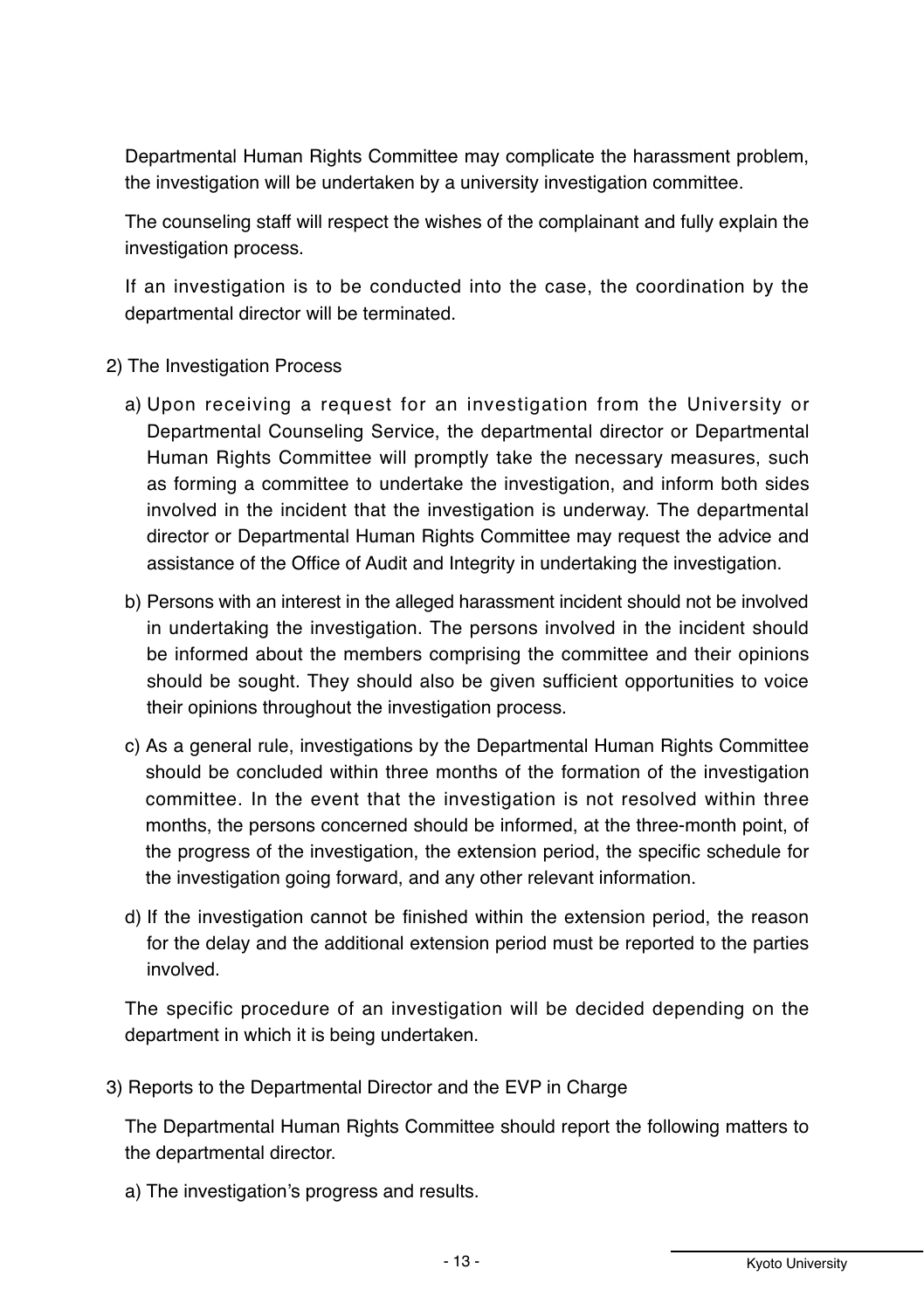Departmental Human Rights Committee may complicate the harassment problem, the investigation will be undertaken by a university investigation committee.

The counseling staff will respect the wishes of the complainant and fully explain the investigation process.

If an investigation is to be conducted into the case, the coordination by the departmental director will be terminated.

- 2) The Investigation Process
	- a) Upon receiving a request for an investigation from the University or Departmental Counseling Service, the departmental director or Departmental Human Rights Committee will promptly take the necessary measures, such as forming a committee to undertake the investigation, and inform both sides involved in the incident that the investigation is underway. The departmental director or Departmental Human Rights Committee may request the advice and assistance of the Office of Audit and Integrity in undertaking the investigation.
	- b) Persons with an interest in the alleged harassment incident should not be involved in undertaking the investigation. The persons involved in the incident should be informed about the members comprising the committee and their opinions should be sought. They should also be given sufficient opportunities to voice their opinions throughout the investigation process.
	- c) As a general rule, investigations by the Departmental Human Rights Committee should be concluded within three months of the formation of the investigation committee. In the event that the investigation is not resolved within three months, the persons concerned should be informed, at the three-month point, of the progress of the investigation, the extension period, the specific schedule for the investigation going forward, and any other relevant information.
	- d) If the investigation cannot be finished within the extension period, the reason for the delay and the additional extension period must be reported to the parties involved.

The specific procedure of an investigation will be decided depending on the department in which it is being undertaken.

3) Reports to the Departmental Director and the EVP in Charge

The Departmental Human Rights Committee should report the following matters to the departmental director.

a) The investigation's progress and results.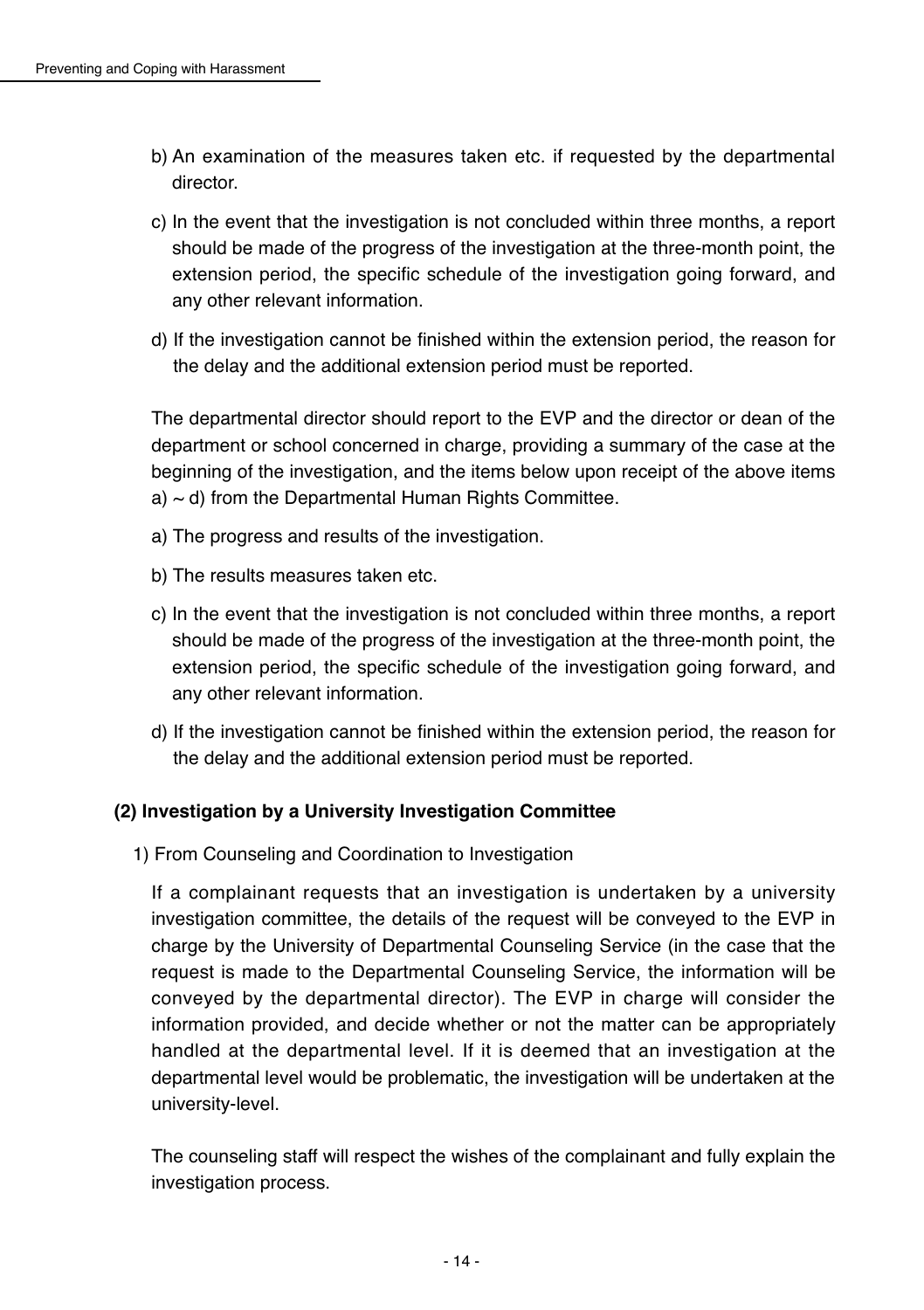- b) An examination of the measures taken etc. if requested by the departmental director
- c) In the event that the investigation is not concluded within three months, a report should be made of the progress of the investigation at the three-month point, the extension period, the specific schedule of the investigation going forward, and any other relevant information.
- d) If the investigation cannot be finished within the extension period, the reason for the delay and the additional extension period must be reported.

The departmental director should report to the EVP and the director or dean of the department or school concerned in charge, providing a summary of the case at the beginning of the investigation, and the items below upon receipt of the above items  $a) \sim d$ ) from the Departmental Human Rights Committee.

- a) The progress and results of the investigation.
- b) The results measures taken etc.
- c) In the event that the investigation is not concluded within three months, a report should be made of the progress of the investigation at the three-month point, the extension period, the specific schedule of the investigation going forward, and any other relevant information.
- d) If the investigation cannot be finished within the extension period, the reason for the delay and the additional extension period must be reported.

#### (2) Investigation by a University Investigation Committee

1) From Counseling and Coordination to Investigation

If a complainant requests that an investigation is undertaken by a university investigation committee, the details of the request will be conveyed to the EVP in charge by the University of Departmental Counseling Service (in the case that the request is made to the Departmental Counseling Service, the information will be conveyed by the departmental director). The EVP in charge will consider the information provided, and decide whether or not the matter can be appropriately handled at the departmental level. If it is deemed that an investigation at the departmental level would be problematic, the investigation will be undertaken at the university-level.

The counseling staff will respect the wishes of the complainant and fully explain the investigation process.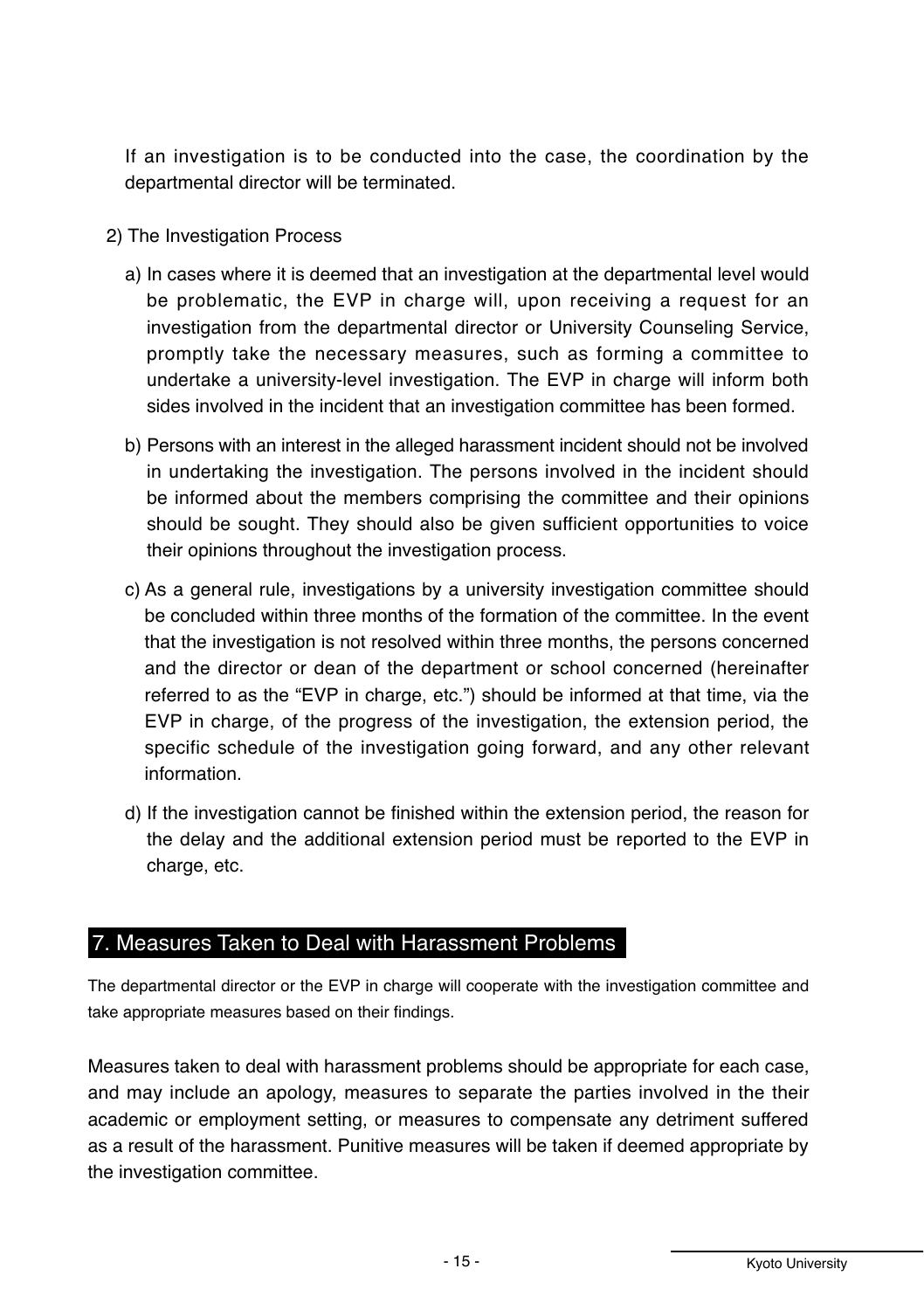If an investigation is to be conducted into the case, the coordination by the departmental director will be terminated.

- 2) The Investigation Process
	- a) In cases where it is deemed that an investigation at the departmental level would be problematic, the EVP in charge will, upon receiving a request for an investigation from the departmental director or University Counseling Service. promptly take the necessary measures, such as forming a committee to undertake a university-level investigation. The EVP in charge will inform both sides involved in the incident that an investigation committee has been formed.
	- b) Persons with an interest in the alleged harassment incident should not be involved in undertaking the investigation. The persons involved in the incident should be informed about the members comprising the committee and their opinions should be sought. They should also be given sufficient opportunities to voice their opinions throughout the investigation process.
	- c) As a general rule, investigations by a university investigation committee should be concluded within three months of the formation of the committee. In the event that the investigation is not resolved within three months, the persons concerned and the director or dean of the department or school concerned (hereinafter referred to as the "EVP in charge, etc.") should be informed at that time, via the EVP in charge, of the progress of the investigation, the extension period, the specific schedule of the investigation going forward, and any other relevant information
	- d) If the investigation cannot be finished within the extension period, the reason for the delay and the additional extension period must be reported to the EVP in charge, etc.

#### 7. Measures Taken to Deal with Harassment Problems

The departmental director or the EVP in charge will cooperate with the investigation committee and take appropriate measures based on their findings.

Measures taken to deal with harassment problems should be appropriate for each case. and may include an apology, measures to separate the parties involved in the their academic or employment setting, or measures to compensate any detriment suffered as a result of the harassment. Punitive measures will be taken if deemed appropriate by the investigation committee.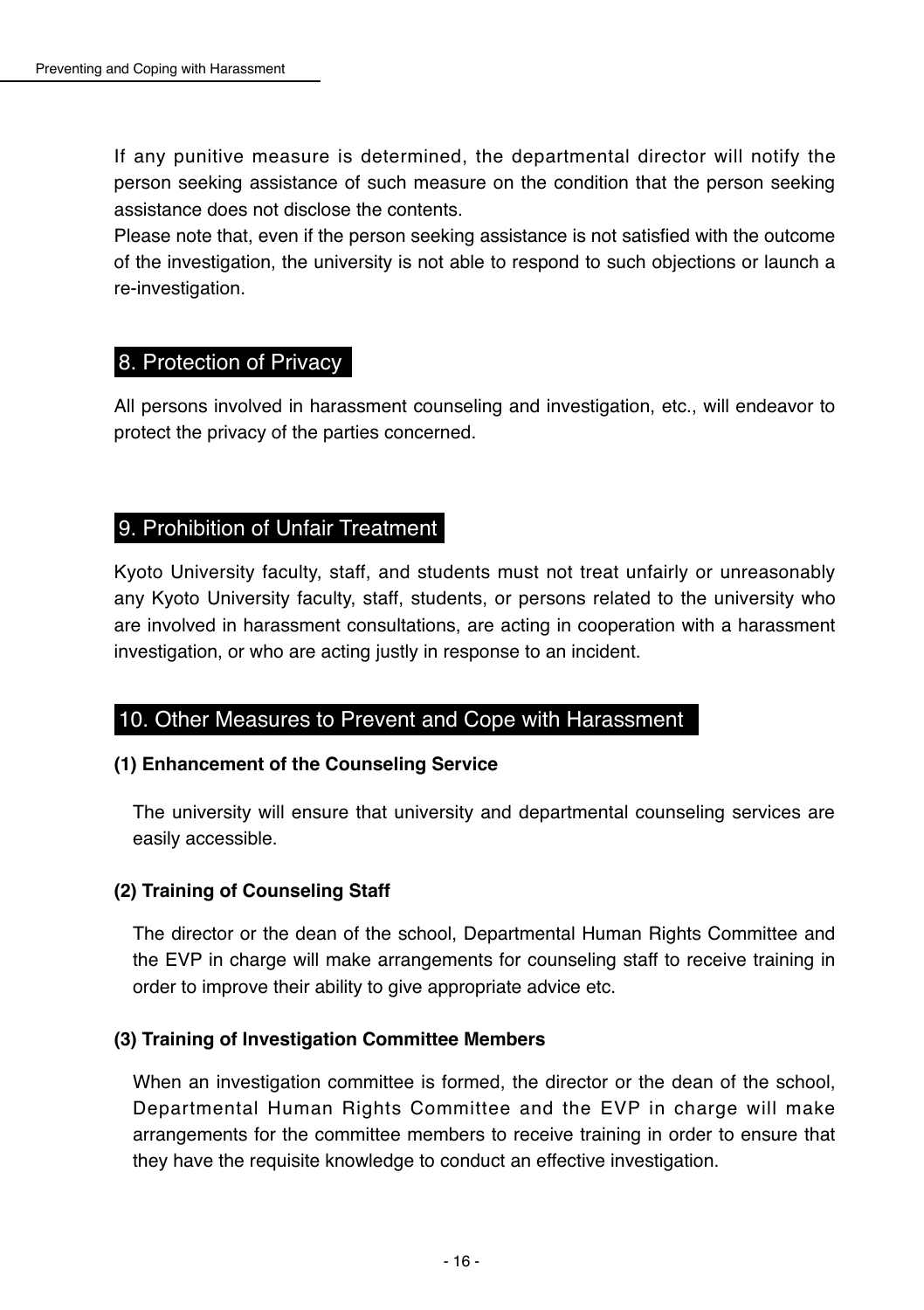If any punitive measure is determined, the departmental director will notify the person seeking assistance of such measure on the condition that the person seeking assistance does not disclose the contents.

Please note that, even if the person seeking assistance is not satisfied with the outcome of the investigation, the university is not able to respond to such objections or launch a re-investigation.

#### 8. Protection of Privacy

All persons involved in harassment counseling and investigation, etc., will endeavor to protect the privacy of the parties concerned.

# 9. Prohibition of Unfair Treatment

Kyoto University faculty, staff, and students must not treat unfairly or unreasonably any Kyoto University faculty, staff, students, or persons related to the university who are involved in harassment consultations, are acting in cooperation with a harassment investigation, or who are acting justly in response to an incident.

#### 10. Other Measures to Prevent and Cope with Harassment

#### **(1) Enhancement of the Counseling Service**

The university will ensure that university and departmental counseling services are easily accessible.

#### **(2) Training of Counseling Staff**

The director or the dean of the school, Departmental Human Rights Committee and the EVP in charge will make arrangements for counseling staff to receive training in order to improve their ability to give appropriate advice etc.

#### **(3) Training of Investigation Committee Members**

When an investigation committee is formed, the director or the dean of the school, Departmental Human Rights Committee and the EVP in charge will make arrangements for the committee members to receive training in order to ensure that they have the requisite knowledge to conduct an effective investigation.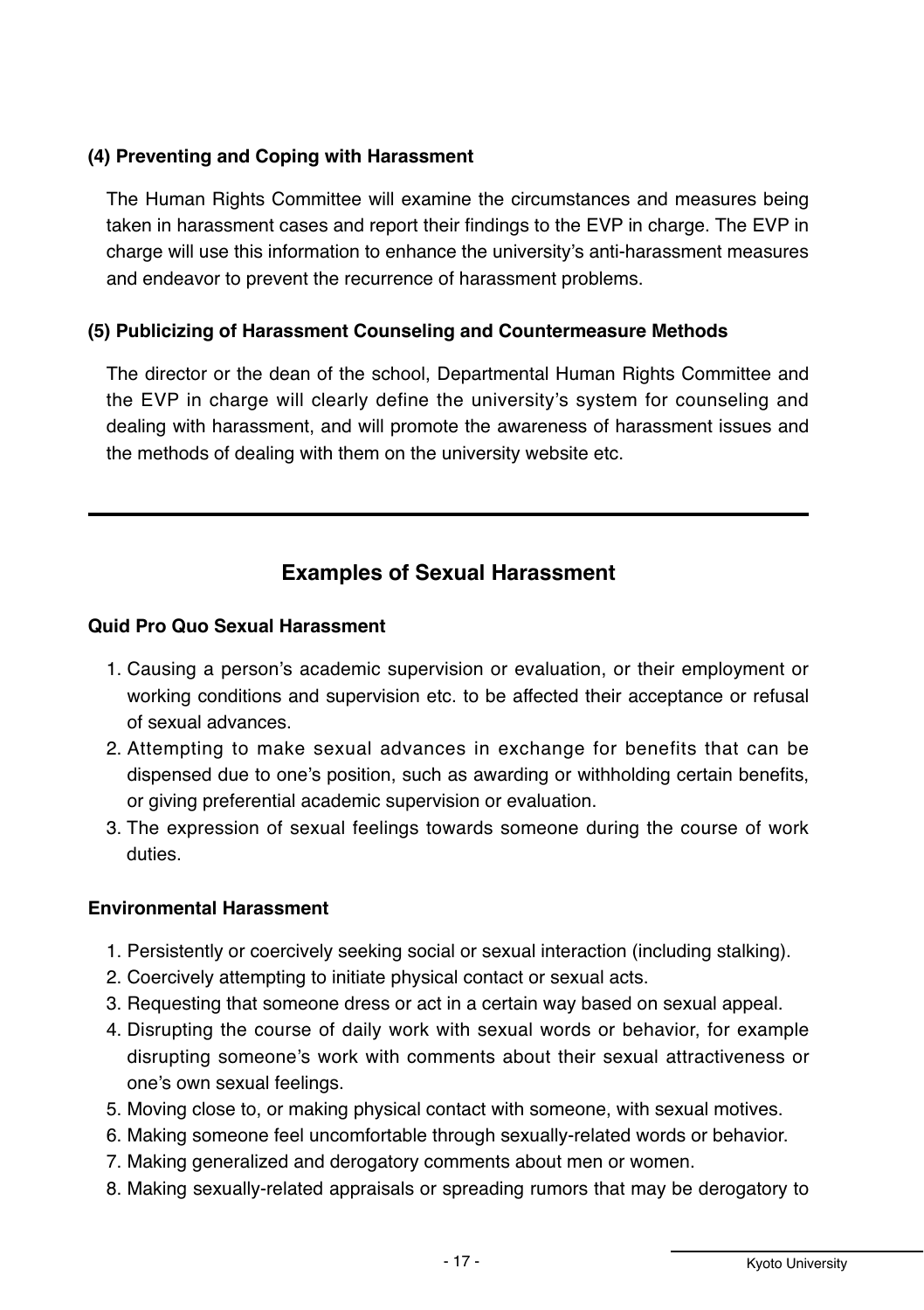#### **(4) Preventing and Coping with Harassment**

The Human Rights Committee will examine the circumstances and measures being taken in harassment cases and report their findings to the EVP in charge. The EVP in charge will use this information to enhance the university's anti-harassment measures and endeavor to prevent the recurrence of harassment problems.

#### **(5) Publicizing of Harassment Counseling and Countermeasure Methods**

The director or the dean of the school. Departmental Human Rights Committee and the EVP in charge will clearly define the university's system for counseling and dealing with harassment, and will promote the awareness of harassment issues and the methods of dealing with them on the university website etc.

# **Examples of Sexual Harassment**

#### **Quid Pro Quo Sexual Harassment**

- 1. Causing a person's academic supervision or evaluation, or their employment or working conditions and supervision etc. to be affected their acceptance or refusal of sexual advances.
- 2. Attempting to make sexual advances in exchange for benefits that can be dispensed due to one's position, such as awarding or withholding certain benefits, or giving preferential academic supervision or evaluation.
- 3. The expression of sexual feelings towards someone during the course of work duties.

#### **Environmental Harassment**

- 1. Persistently or coercively seeking social or sexual interaction (including stalking).
- 2. Coercively attempting to initiate physical contact or sexual acts.
- 3. Requesting that someone dress or act in a certain way based on sexual appeal.
- 4. Disrupting the course of daily work with sexual words or behavior, for example disrupting someone's work with comments about their sexual attractiveness or one's own sexual feelings.
- 5. Moving close to, or making physical contact with someone, with sexual motives.
- 6. Making someone feel uncomfortable through sexually-related words or behavior.
- 7. Making generalized and derogatory comments about men or women.
- 8. Making sexually-related appraisals or spreading rumors that may be derogatory to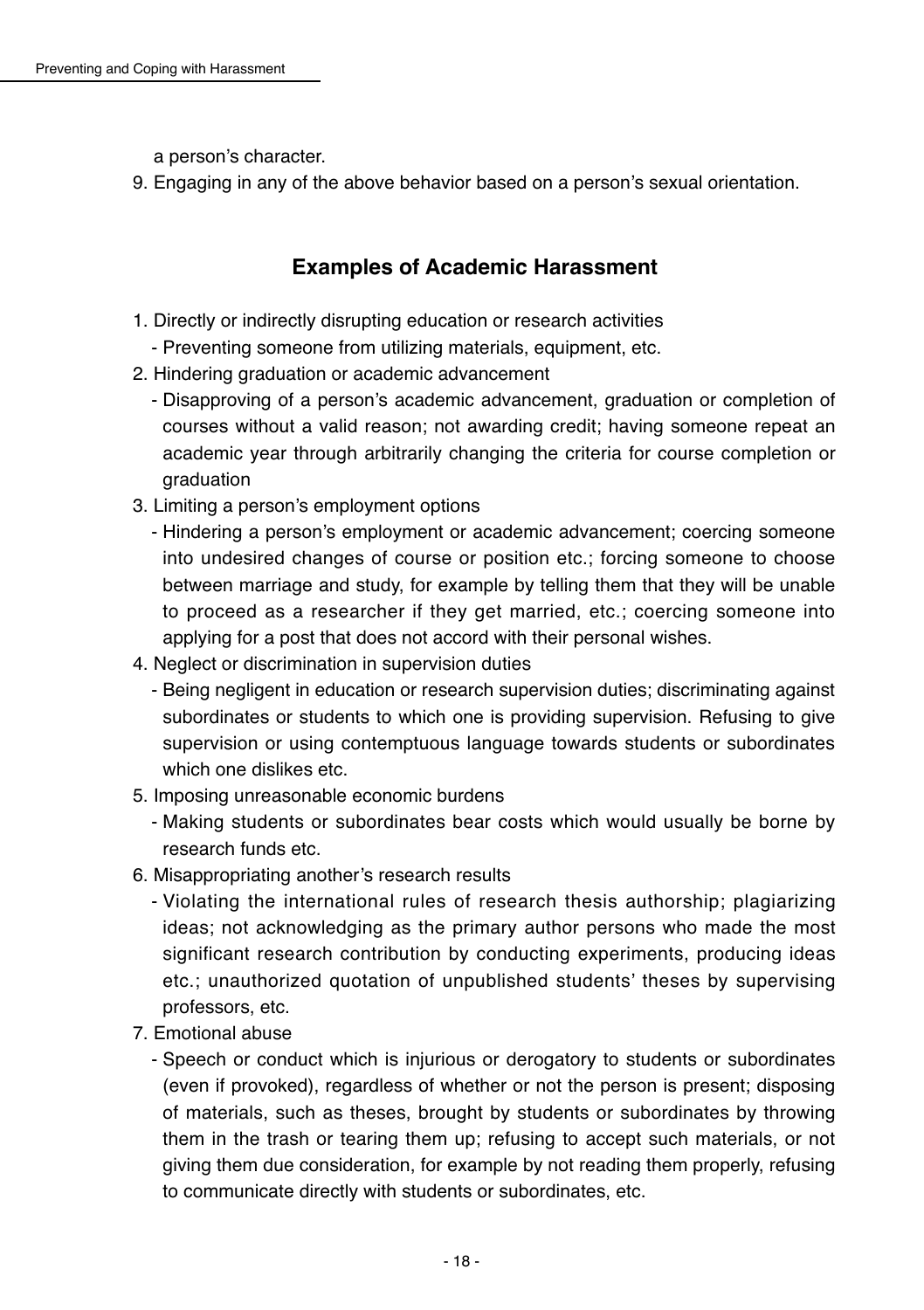a person's character.

9. Engaging in any of the above behavior based on a person's sexual orientation.

# **Examples of Academic Harassment**

- 1. Directly or indirectly disrupting education or research activities
	- Preventing someone from utilizing materials, equipment, etc.
- 2. Hindering graduation or academic advancement
	- Disapproving of a person's academic advancement, graduation or completion of courses without a valid reason: not awarding credit: having someone repeat an academic year through arbitrarily changing the criteria for course completion or araduation
- 3. Limiting a person's employment options
	- Hindering a person's employment or academic advancement: coercing someone into undesired changes of course or position etc.: forcing someone to choose between marriage and study, for example by telling them that they will be unable to proceed as a researcher if they get married, etc.; coercing someone into applying for a post that does not accord with their personal wishes.
- 4. Neglect or discrimination in supervision duties
	- Being negligent in education or research supervision duties: discriminating against subordinates or students to which one is providing supervision. Refusing to give supervision or using contemptuous language towards students or subordinates which one dislikes etc.
- 5. Imposing unreasonable economic burdens
	- Making students or subordinates bear costs which would usually be borne by research funds etc.
- 6. Misappropriating another's research results
	- Violating the international rules of research thesis authorship; plagiarizing ideas; not acknowledging as the primary author persons who made the most significant research contribution by conducting experiments, producing ideas etc.; unauthorized quotation of unpublished students' theses by supervising professors, etc.
- 7. Emotional abuse
	- Speech or conduct which is injurious or derogatory to students or subordinates (even if provoked), regardless of whether or not the person is present; disposing of materials, such as theses, brought by students or subordinates by throwing them in the trash or tearing them up; refusing to accept such materials, or not giving them due consideration, for example by not reading them properly, refusing to communicate directly with students or subordinates, etc.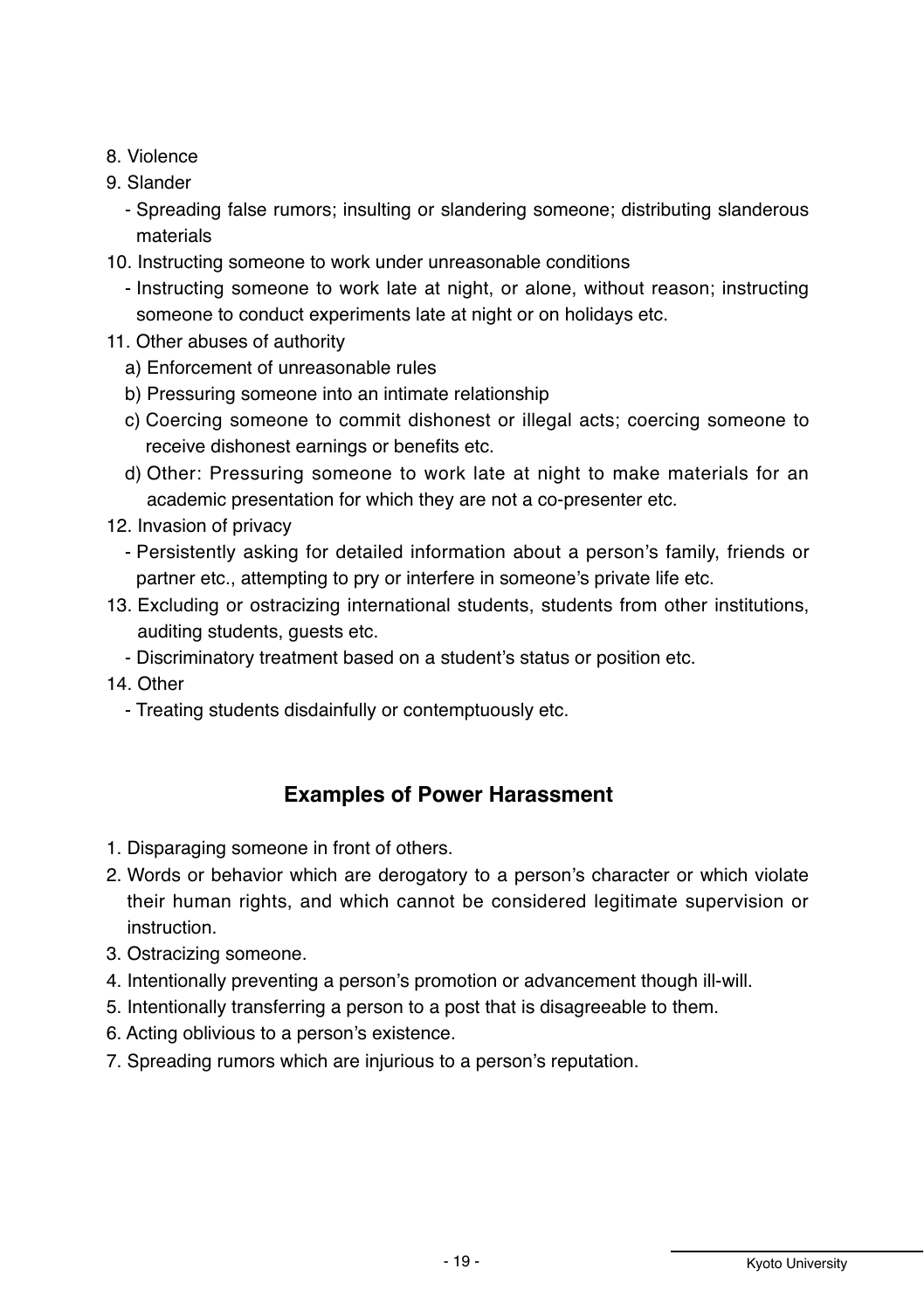- 8 Violence
- 9. Slander
	- Spreading false rumors; insulting or slandering someone; distributing slanderous materials
- 10. Instructing someone to work under unreasonable conditions
	- Instructing someone to work late at night, or alone, without reason; instructing someone to conduct experiments late at night or on holidays etc.
- 11. Other abuses of authority
	- a) Enforcement of unreasonable rules
	- b) Pressuring someone into an intimate relationship
	- c) Coercing someone to commit dishonest or illegal acts; coercing someone to receive dishonest earnings or benefits etc.
	- d) Other: Pressuring someone to work late at night to make materials for an academic presentation for which they are not a co-presenter etc.
- 12. Invasion of privacy
	- Persistently asking for detailed information about a person's family, friends or partner etc., attempting to pry or interfere in someone's private life etc.
- 13. Excluding or ostracizing international students, students from other institutions, auditing students, guests etc.
	- Discriminatory treatment based on a student's status or position etc.
- 14. Other
	- Treating students disdainfully or contemptuously etc.

#### **Examples of Power Harassment**

- 1. Disparaging someone in front of others.
- 2. Words or behavior which are derogatory to a person's character or which violate their human rights, and which cannot be considered legitimate supervision or instruction.
- 3. Ostracizing someone.
- 4. Intentionally preventing a person's promotion or advancement though ill-will.
- 5. Intentionally transferring a person to a post that is disagreeable to them.
- 6. Acting oblivious to a person's existence.
- 7. Spreading rumors which are injurious to a person's reputation.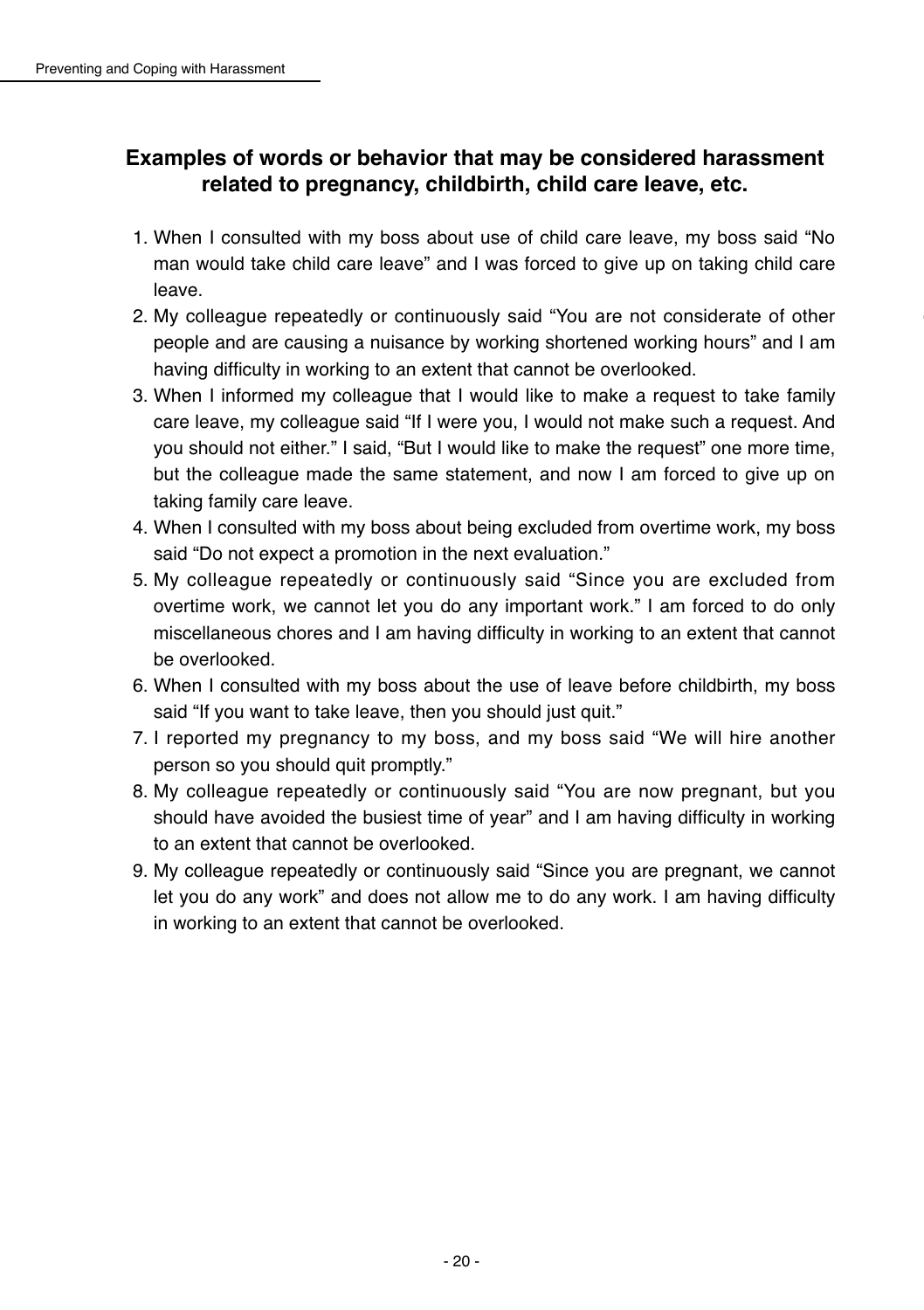# **Examples of words or behavior that may be considered harassment related to pregnancy, childbirth, child care leave, etc.**

- 1. When I consulted with my boss about use of child care leave, my boss said "No man would take child care leave" and I was forced to give up on taking child care leave.
- 2. My colleague repeatedly or continuously said "You are not considerate of other people and are causing a nuisance by working shortened working hours" and I am having difficulty in working to an extent that cannot be overlooked.
- 3. When I informed my colleague that I would like to make a request to take family care leave, my colleague said "If I were you, I would not make such a request. And you should not either." I said, "But I would like to make the request" one more time, but the colleague made the same statement, and now I am forced to give up on taking family care leave.
- 4. When I consulted with my boss about being excluded from overtime work, my boss said "Do not expect a promotion in the next evaluation."
- 5. My colleague repeatedly or continuously said "Since you are excluded from overtime work, we cannot let you do any important work." I am forced to do only miscellaneous chores and I am having difficulty in working to an extent that cannot be overlooked.
- 6. When I consulted with my boss about the use of leave before childbirth, my boss said "If you want to take leave, then you should just quit."
- 7. I reported my pregnancy to my boss, and my boss said "We will hire another person so you should quit promptly."
- 8. My colleague repeatedly or continuously said "You are now pregnant, but you should have avoided the busiest time of vear" and I am having difficulty in working to an extent that cannot be overlooked
- 9. My colleague repeatedly or continuously said "Since you are pregnant, we cannot let you do any work" and does not allow me to do any work. I am having difficulty in working to an extent that cannot be overlooked.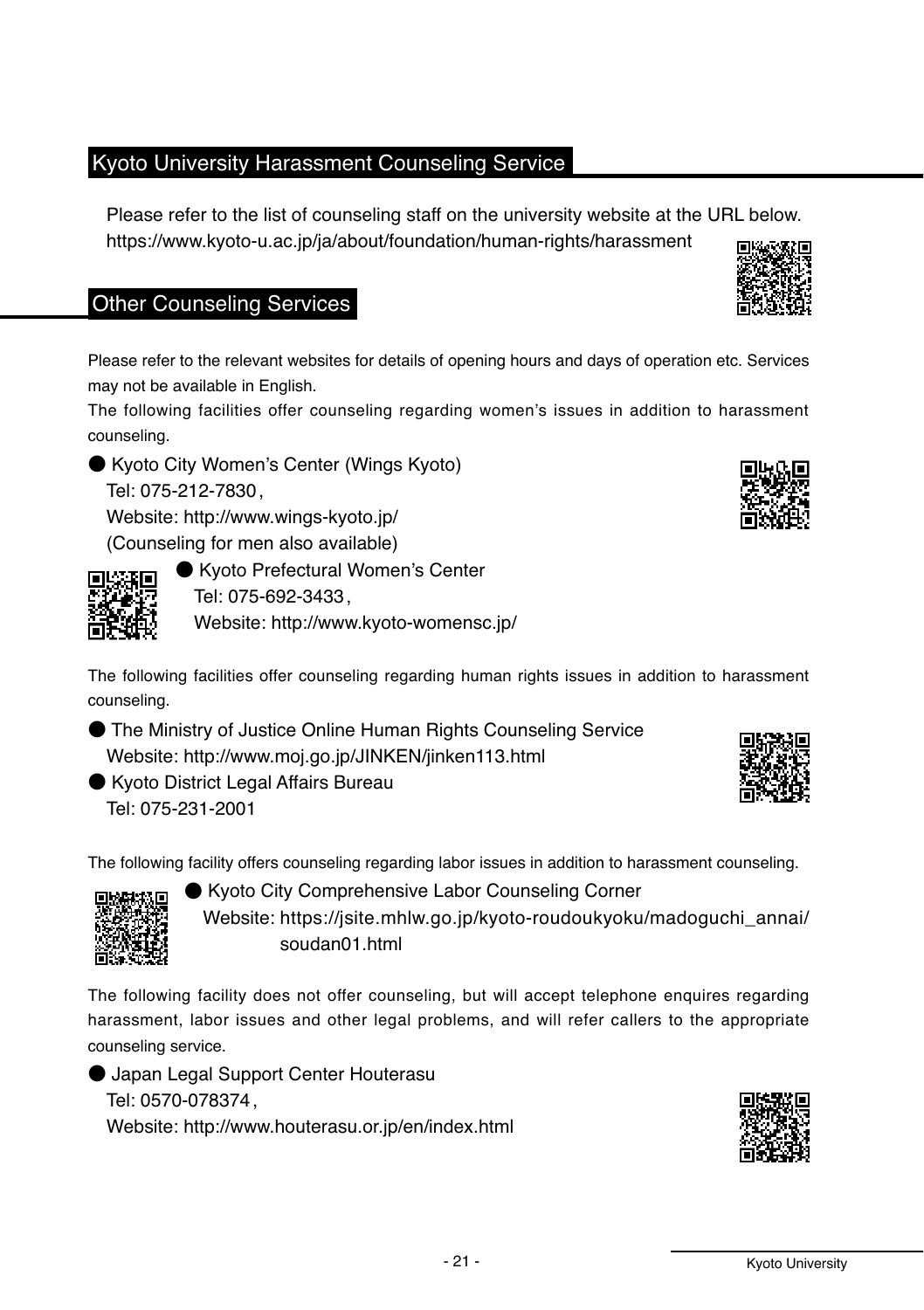# Kvoto University Harassment Counseling Service

Please refer to the list of counseling staff on the university website at the URL below. https://www.kyoto-u.ac.jp/ja/about/foundation/human-rights/harassment

# Other Counseling Services

Please refer to the relevant websites for details of opening hours and days of operation etc. Services may not be available in English.

The following facilities offer counseling regarding women's issues in addition to harassment counseling

● Kyoto City Women's Center (Wings Kyoto) Tel: 075-212-7830.

Website: http://www.winas-kvoto.ip/ (Counseling for men also available)

同形態面

● Kyoto Prefectural Women's Center Tel: 075-692-3433. Website: http://www.kvoto-womensc.ip/

The following facilities offer counseling regarding human rights issues in addition to harassment counseling.

● The Ministry of Justice Online Human Rights Counseling Service Website: http://www.moi.go.jp/JINKEN/jinken113.html

● Kyoto District Legal Affairs Bureau Tel: 075-231-2001

The following facility offers counseling regarding labor issues in addition to harassment counseling.

● Kyoto City Comprehensive Labor Counseling Corner Website: https://jsite.mhlw.go.jp/kyoto-roudoukyoku/madoguchi\_annai/ soudan01 html

The following facility does not offer counseling, but will accept telephone enguires regarding harassment, labor issues and other legal problems, and will refer callers to the appropriate counseling service.

● Japan Legal Support Center Houterasu Tel: 0570-078374. Website: http://www.houterasu.or.jp/en/index.html









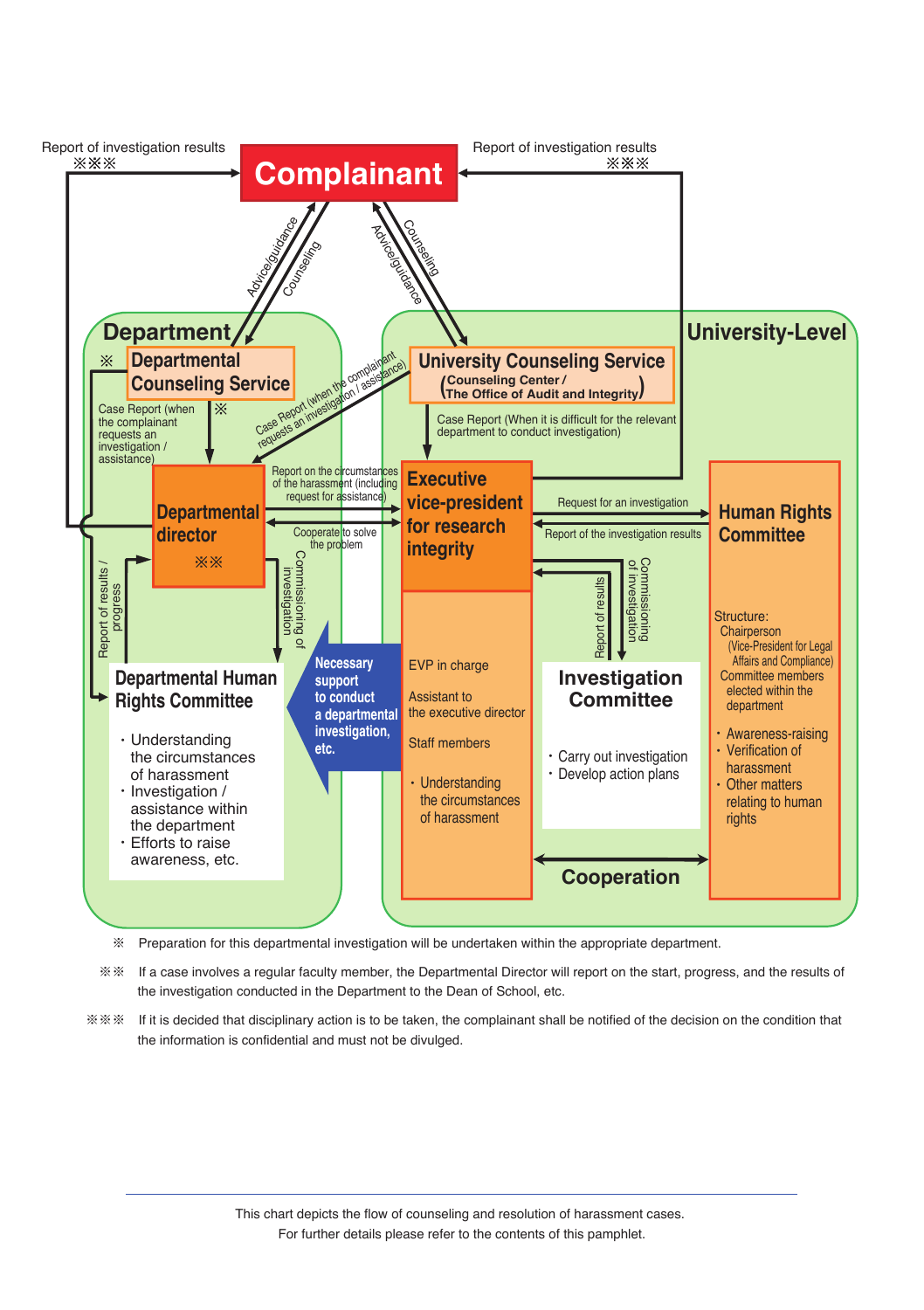

※ Preparation for this departmental investigation will be undertaken within the appropriate department.

 ※※ If a case involves a regular faculty member, the Departmental Director will report on the start, progress, and the results of the investigation conducted in the Department to the Dean of School, etc.

※※※ If it is decided that disciplinary action is to be taken, the complainant shall be notified of the decision on the condition that the information is confidential and must not be divulged.

> This chart depicts the flow of counseling and resolution of harassment cases. For further details please refer to the contents of this pamphlet.